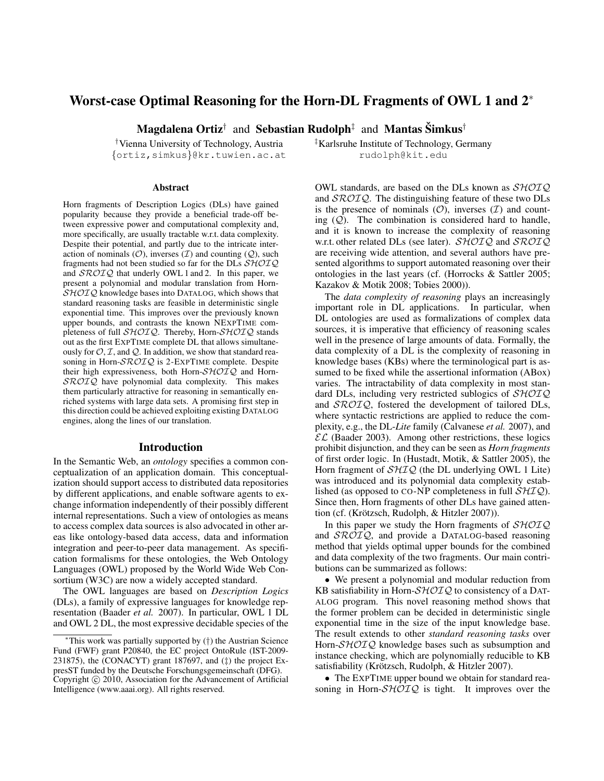# Worst-case Optimal Reasoning for the Horn-DL Fragments of OWL 1 and 2<sup>∗</sup>

Magdalena Ortiz $^\dagger$  and Sebastian Rudolph $^\ddagger$  and Mantas Šimkus $^\dagger$ 

{ortiz,simkus}@kr.tuwien.ac.at rudolph@kit.edu

#### Abstract

Horn fragments of Description Logics (DLs) have gained popularity because they provide a beneficial trade-off between expressive power and computational complexity and, more specifically, are usually tractable w.r.t. data complexity. Despite their potential, and partly due to the intricate interaction of nominals  $(0)$ , inverses  $(I)$  and counting  $(Q)$ , such fragments had not been studied so far for the DLs  $\mathcal{SHOIO}$ and  $\mathcal{SROIO}$  that underly OWL 1 and 2. In this paper, we present a polynomial and modular translation from Horn- $SHOTQ$  knowledge bases into DATALOG, which shows that standard reasoning tasks are feasible in deterministic single exponential time. This improves over the previously known upper bounds, and contrasts the known NEXPTIME completeness of full  $\mathcal{SHOIO}$ . Thereby, Horn- $\mathcal{SHOIO}$  stands out as the first EXPTIME complete DL that allows simultaneously for  $\mathcal{O}, \mathcal{I}$ , and  $\mathcal{Q}$ . In addition, we show that standard reasoning in Horn-SROIQ is 2-EXPTIME complete. Despite their high expressiveness, both Horn- $\mathcal{SHOLQ}$  and Horn- $\mathcal{SROTQ}$  have polynomial data complexity. This makes them particularly attractive for reasoning in semantically enriched systems with large data sets. A promising first step in this direction could be achieved exploiting existing DATALOG engines, along the lines of our translation.

#### Introduction

In the Semantic Web, an *ontology* specifies a common conceptualization of an application domain. This conceptualization should support access to distributed data repositories by different applications, and enable software agents to exchange information independently of their possibly different internal representations. Such a view of ontologies as means to access complex data sources is also advocated in other areas like ontology-based data access, data and information integration and peer-to-peer data management. As specification formalisms for these ontologies, the Web Ontology Languages (OWL) proposed by the World Wide Web Consortium (W3C) are now a widely accepted standard.

The OWL languages are based on *Description Logics* (DLs), a family of expressive languages for knowledge representation (Baader *et al.* 2007). In particular, OWL 1 DL and OWL 2 DL, the most expressive decidable species of the

<sup>†</sup>Vienna University of Technology, Austria  $\frac{1}{4}$ Karlsruhe Institute of Technology, Germany

OWL standards, are based on the DLs known as  $\mathcal{SHOIQ}$ and  $\text{SROTQ}$ . The distinguishing feature of these two DLs is the presence of nominals  $(0)$ , inverses  $(1)$  and counting  $(Q)$ . The combination is considered hard to handle, and it is known to increase the complexity of reasoning w.r.t. other related DLs (see later).  $\mathcal{SHOIQ}$  and  $\mathcal{SROIQ}$ are receiving wide attention, and several authors have presented algorithms to support automated reasoning over their ontologies in the last years (cf. (Horrocks & Sattler 2005; Kazakov & Motik 2008; Tobies 2000)).

The *data complexity of reasoning* plays an increasingly important role in DL applications. In particular, when DL ontologies are used as formalizations of complex data sources, it is imperative that efficiency of reasoning scales well in the presence of large amounts of data. Formally, the data complexity of a DL is the complexity of reasoning in knowledge bases (KBs) where the terminological part is assumed to be fixed while the assertional information (ABox) varies. The intractability of data complexity in most standard DLs, including very restricted sublogics of  $\mathcal{SHOIQ}$ and SROIQ, fostered the development of tailored DLs, where syntactic restrictions are applied to reduce the complexity, e.g., the DL-*Lite* family (Calvanese *et al.* 2007), and  $\mathcal{EL}$  (Baader 2003). Among other restrictions, these logics prohibit disjunction, and they can be seen as *Horn fragments* of first order logic. In (Hustadt, Motik, & Sattler 2005), the Horn fragment of  $\mathcal{SHIQ}$  (the DL underlying OWL 1 Lite) was introduced and its polynomial data complexity established (as opposed to CO-NP completeness in full  $\mathcal{SHIQ}$ ). Since then, Horn fragments of other DLs have gained attention (cf. (Krötzsch, Rudolph,  $& Hitzler\ 2007$ )).

In this paper we study the Horn fragments of  $\mathcal{SHOIQ}$ and  $\text{SROTQ}$ , and provide a DATALOG-based reasoning method that yields optimal upper bounds for the combined and data complexity of the two fragments. Our main contributions can be summarized as follows:

• We present a polynomial and modular reduction from KB satisfiability in Horn- $\mathcal{SHOLQ}$  to consistency of a DAT-ALOG program. This novel reasoning method shows that the former problem can be decided in deterministic single exponential time in the size of the input knowledge base. The result extends to other *standard reasoning tasks* over Horn-SHOIQ knowledge bases such as subsumption and instance checking, which are polynomially reducible to KB satisfiability (Krötzsch, Rudolph, & Hitzler 2007).

• The EXPTIME upper bound we obtain for standard reasoning in Horn- $\mathcal{SHOIQ}$  is tight. It improves over the

<sup>∗</sup>This work was partially supported by (†) the Austrian Science Fund (FWF) grant P20840, the EC project OntoRule (IST-2009- 231875), the (CONACYT) grant 187697, and (‡) the project ExpresST funded by the Deutsche Forschungsgemeinschaft (DFG). Copyright © 2010, Association for the Advancement of Artificial Intelligence (www.aaai.org). All rights reserved.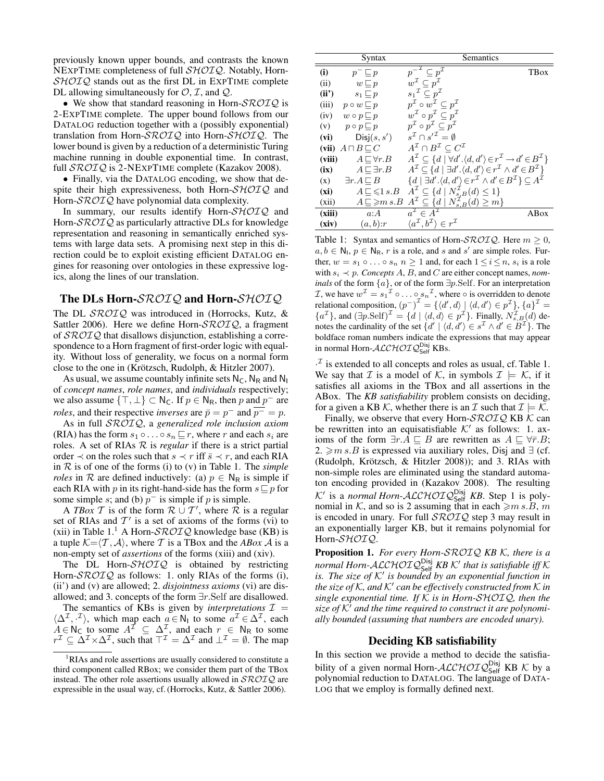previously known upper bounds, and contrasts the known NEXPTIME completeness of full SHOIQ. Notably, Horn- $SHOTQ$  stands out as the first DL in EXPTIME complete DL allowing simultaneously for  $\mathcal{O}, \mathcal{I}$ , and  $\mathcal{Q}$ .

• We show that standard reasoning in Horn- $\mathcal{SROTQ}$  is 2-EXPTIME complete. The upper bound follows from our DATALOG reduction together with a (possibly exponential) translation from Horn-SROIQ into Horn-SHOIQ. The lower bound is given by a reduction of a deterministic Turing machine running in double exponential time. In contrast, full *SROIQ* is 2-NEXPTIME complete (Kazakov 2008).

• Finally, via the DATALOG encoding, we show that despite their high expressiveness, both Horn- $\mathcal{SHOIQ}$  and Horn-SROIQ have polynomial data complexity.

In summary, our results identify Horn-SHOIQ and Horn-SROIQ as particularly attractive DLs for knowledge representation and reasoning in semantically enriched systems with large data sets. A promising next step in this direction could be to exploit existing efficient DATALOG engines for reasoning over ontologies in these expressive logics, along the lines of our translation.

### The DLs Horn-SROIQ and Horn-SHOIQ

The DL SROIQ was introduced in (Horrocks, Kutz, & Sattler 2006). Here we define Horn- $\mathcal{SROIQ}$ , a fragment of  $\mathcal{SROTQ}$  that disallows disjunction, establishing a correspondence to a Horn fragment of first-order logic with equality. Without loss of generality, we focus on a normal form close to the one in (Krötzsch, Rudolph, & Hitzler 2007).

As usual, we assume countably infinite sets  $N_c$ ,  $N_R$  and  $N_I$ of *concept names*, *role names*, and *individuals* respectively; we also assume  $\{\top, \bot\} \subset \mathsf{N}_{\mathsf{C}}$ . If  $p \in \mathsf{N}_{\mathsf{R}}$ , then p and  $p^-$  are *roles*, and their respective *inverses* are  $\bar{p} = p^{-}$  and  $\bar{p} = p$ .

As in full SROIQ, a *generalized role inclusion axiom* (RIA) has the form  $s_1 \circ \ldots \circ s_n \sqsubseteq r$ , where r and each  $s_i$  are roles. A set of RIAs  $R$  is *regular* if there is a strict partial order  $\prec$  on the roles such that  $s \prec r$  iff  $\bar{s} \prec r$ , and each RIA in R is of one of the forms (i) to (v) in Table 1. The *simple roles* in R are defined inductively: (a)  $p \in N_R$  is simple if each RIA with p in its right-hand-side has the form  $s \sqsubseteq p$  for some simple s; and (b)  $p^-$  is simple if p is simple.

A *TBox* T is of the form  $\mathcal{R} \cup \mathcal{T}'$ , where  $\mathcal{R}$  is a regular set of RIAs and  $T'$  is a set of axioms of the forms (vi) to (xii) in Table 1.<sup>1</sup> A Horn- $\mathcal{SROIQ}$  knowledge base (KB) is a tuple  $K = \langle T, A \rangle$ , where T is a TBox and the *ABox* A is a non-empty set of *assertions* of the forms (xiii) and (xiv).

The DL Horn- $\mathcal{SHOIQ}$  is obtained by restricting Horn- $\text{SROTQ}$  as follows: 1. only RIAs of the forms (i), (ii') and (v) are allowed; 2. *disjointness axioms* (vi) are disallowed; and 3. concepts of the form ∃r.Self are disallowed.

The semantics of KBs is given by *interpretations*  $\mathcal{I}$  =  $\langle \Delta^{\mathcal{I}}, \cdot^{\mathcal{I}} \rangle$ , which map each  $a \in \mathsf{N}_1$  to some  $a^{\mathcal{I}} \in \Delta^{\mathcal{I}}$ , each  $A \in N_{\mathsf{C}}$  to some  $A^{\mathcal{I}} \subseteq \Delta^{\mathcal{I}}$ , and each  $r \in N_{\mathsf{R}}$  to some  $r^{\mathcal{I}} \subseteq \Delta^{\mathcal{I}} \times \Delta^{\mathcal{I}}$ , such that  $\top^{\mathcal{I}} = \Delta^{\mathcal{I}}$  and  $\bot^{\mathcal{I}} = \emptyset$ . The map

|        | Syntax                          | <b>Semantics</b>                                                                                                                                 |             |
|--------|---------------------------------|--------------------------------------------------------------------------------------------------------------------------------------------------|-------------|
| (i)    | $p^- \sqsubseteq p$             | $\overline{p}^{-\mathcal{I}} \subseteq p^{\mathcal{I}}$                                                                                          | <b>TBox</b> |
| (ii)   | $w \sqsubset p$                 | $w^{\mathcal{I}} \subseteq p^{\mathcal{I}}$                                                                                                      |             |
| (ii')  | $s_1 \sqsubset p$               | $s_1{}^{\mathcal{I}} \subset p^{\mathcal{I}}$                                                                                                    |             |
| (iii)  | $p \circ w \sqsubseteq p$       | $p^{\mathcal{I}} \circ w^{\mathcal{I}} \subseteq p^{\mathcal{I}}$                                                                                |             |
| (iv)   | $w \circ p \sqsubseteq p$       | $w^{\mathcal{I}} \circ p^{\mathcal{I}} \subset p^{\mathcal{I}}$                                                                                  |             |
| (v)    | $p \circ p \sqsubset p$         | $p^{\mathcal{I}} \circ p^{\mathcal{I}} \subset p^{\mathcal{I}}$                                                                                  |             |
| (vi)   | Disj(s, s')                     | $s^{\mathcal{I}} \cap s'^{\mathcal{I}} = \emptyset$                                                                                              |             |
| (vii)  | $A \sqcap B \sqsubseteq C$      | $A^{\mathcal{I}} \cap B^{\mathcal{I}} \subset C^{\mathcal{I}}$                                                                                   |             |
| (viii) | $A \sqsubset \forall r.B$       | $A^{\mathcal{I}} \subseteq \{d \mid \forall d'. \langle d, d' \rangle \in r^{\mathcal{I}} \rightarrow d' \in B^{\mathcal{I}}\}\$                 |             |
| (ix)   | $A \sqsubset \exists r.B$       | $A^{\mathcal{I}} \subseteq \{d \mid \exists d'. \langle d, d' \rangle \in r^{\mathcal{I}} \wedge d' \in B^{\mathcal{I}}\}\$                      |             |
| (x)    | $\exists r.A \sqsubseteq B$     | $\{d \mid \exists d'.\langle d, d'\rangle \in r^{\mathcal{I}} \wedge d' \in B^{\mathcal{I}}\}\subseteq A^{\tilde{\mathcal{I}}}$                  |             |
| (xi)   | $A \sqsubseteq \leqslant 1 s.B$ | $A^{\mathcal{I}} \subseteq \{d \mid N_{s,B}^{\mathcal{I}}(d) \leq 1\}$<br>$A^{\mathcal{I}} \subseteq \{d \mid N_{s,B}^{\mathcal{I}}(d) \geq m\}$ |             |
| (xii)  | $A \sqsubseteq \geq m s.B$      |                                                                                                                                                  |             |
| (xiii) | a:A                             | $a^{\mathcal{I}} \in A^{\mathcal{I}}$                                                                                                            | ABox        |
| (xiv)  | (a,b):r                         | $\langle a^{\mathcal{I}}, b^{\mathcal{I}} \rangle \in r^{\mathcal{I}}$                                                                           |             |

Table 1: Syntax and semantics of Horn- $\mathcal{SROIQ}$ . Here  $m \geq 0$ ,  $a, b \in \mathbb{N}_1, p \in \mathbb{N}_{\mathbb{R}}, r$  is a role, and s and s' are simple roles. Further,  $w = s_1 \circ \dots \circ s_n$   $n \ge 1$  and, for each  $1 \le i \le n$ ,  $s_i$  is a role with  $s_i \prec p$ . *Concepts A, B,* and C are either concept names, *nominals* of the form  $\{a\}$ , or of the form ∃p.Self. For an interpretation *I*, we have  $w^{\mathcal{I}} = s_1^{\mathcal{I}} \circ \dots \circ s_n^{\mathcal{I}}$ , where  $\circ$  is overridden to denote relational composition,  $(p^{-})^{\mathcal{I}} = \{ \langle d', d \rangle \mid \langle d, d' \rangle \in p^{\mathcal{I}} \}, \{a\}^{\mathcal{I}} =$  ${a<sup>\mathcal{I}}</sup>$ </sup>, and  $(\exists p.\text{Self})^{\mathcal{I}} = {d \mid \langle d, d \rangle \in p^{\mathcal{I}}}$ . Finally,  $N_{s,B}^{\mathcal{I}}(d)$  denotes the cardinality of the set  $\{d' \mid \langle d, d' \rangle \in s^{\mathcal{I}} \wedge d' \in B^{\mathcal{I}}\}\.$  The boldface roman numbers indicate the expressions that may appear in normal Horn- $\mathcal{ALCHOLQ}_\text{Self}^{\text{Disj}}$  KBs.

 $\cdot^{\mathcal{I}}$  is extended to all concepts and roles as usual, cf. Table 1. We say that *I* is a model of *K*, in symbols  $I \models K$ , if it satisfies all axioms in the TBox and all assertions in the ABox. The *KB satisfiability* problem consists on deciding, for a given a KB K, whether there is an T such that  $\mathcal{I} \models \mathcal{K}$ .

Finally, we observe that every Horn- $\mathcal{SROTQ}$  KB  $\mathcal K$  can be rewritten into an equisatisfiable  $K'$  as follows: 1. axioms of the form  $\exists r.A \sqsubseteq B$  are rewritten as  $A \sqsubseteq \forall \overline{r}.B;$ 2.  $\geq m s.B$  is expressed via auxiliary roles, Disj and ∃ (cf. (Rudolph, Krötzsch, & Hitzler 2008)); and 3. RIAs with non-simple roles are eliminated using the standard automaton encoding provided in (Kazakov 2008). The resulting K' is a *normal Horn-ALCHOIQ*<sup>Disj</sup> KB. Step 1 is polynomial in K, and so is 2 assuming that in each  $\geq m s.B$ , m is encoded in unary. For full  $\mathcal{SROTQ}$  step 3 may result in an exponentially larger KB, but it remains polynomial for Horn-SHOIQ.

Proposition 1. *For every Horn-*SROIQ *KB* K*, there is a normal Horn-*ALCHOIQDisj Self *KB* K<sup>0</sup> *that is satisfiable iff* K is. The size of  $K'$  is bounded by an exponential function in *the size of* K*, and* K<sup>0</sup> *can be effectively constructed from* K *in single exponential time. If* K *is in Horn-*SHOIQ*, then the* size of  $K'$  and the time required to construct it are polynomi*ally bounded (assuming that numbers are encoded unary).*

### Deciding KB satisfiability

In this section we provide a method to decide the satisfiability of a given normal Horn- $\mathcal{ALCHOLQ}_{\mathsf{Self}}^{\mathsf{Disj}}$  KB K by a polynomial reduction to DATALOG. The language of DATA-LOG that we employ is formally defined next.

<sup>&</sup>lt;sup>1</sup>RIAs and role assertions are usually considered to constitute a third component called RBox; we consider them part of the TBox instead. The other role assertions usually allowed in  $\mathcal{SROTQ}$  are expressible in the usual way, cf. (Horrocks, Kutz, & Sattler 2006).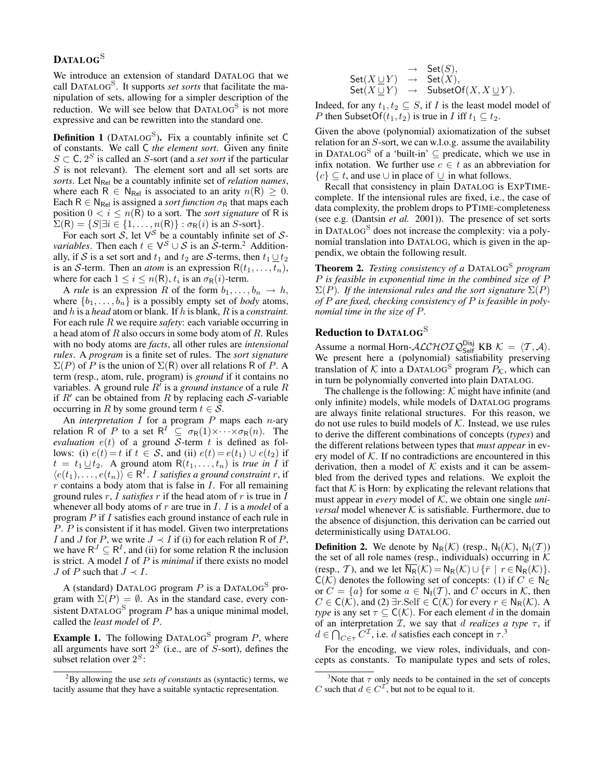## DATALOG<sup>S</sup>

We introduce an extension of standard DATALOG that we call DATALOG<sup>S</sup> . It supports *set sorts* that facilitate the manipulation of sets, allowing for a simpler description of the reduction. We will see below that DATALOG<sup>S</sup> is not more expressive and can be rewritten into the standard one.

**Definition 1** (DATALOG<sup>S</sup>). Fix a countably infinite set C of constants. We call C *the element sort*. Given any finite  $S \subset \mathsf{C}$ ,  $2^S$  is called an S-sort (and a *set sort* if the particular S is not relevant). The element sort and all set sorts are *sorts*. Let N<sub>Rel</sub> be a countably infinite set of *relation names*, where each R  $\in$  N<sub>Rel</sub> is associated to an arity  $n(R) \geq 0$ . Each  $R \in N_{\text{Rel}}$  is assigned a *sort function*  $\sigma_R$  that maps each position  $0 < i \leq n(R)$  to a sort. The *sort signature* of R is  $\Sigma(R) = \{S | \exists i \in \{1, \ldots, n(R)\} : \sigma_R(i) \text{ is an } S\text{-sort}\}.$ 

For each sort  $S$ , let  $V^S$  be a countably infinite set of  $S$ *variables*. Then each  $t \in V^S \cup S$  is an  $\tilde{S}$ -term.<sup>2</sup> Additionally, if S is a set sort and  $t_1$  and  $t_2$  are S-terms, then  $t_1 \cup t_2$ is an S-term. Then an *atom* is an expression  $R(t_1, \ldots, t_n)$ , where for each  $1 \leq i \leq n(\mathsf{R})$ ,  $t_i$  is an  $\sigma_{\mathsf{R}}(i)$ -term.

A *rule* is an expression R of the form  $b_1, \ldots, b_n \rightarrow h$ , where  $\{b_1, \ldots, b_n\}$  is a possibly empty set of *body* atoms, and h is a *head* atom or blank. If h is blank, R is a *constraint.* For each rule R we require *safety*: each variable occurring in a head atom of  $R$  also occurs in some body atom of  $R$ . Rules with no body atoms are *facts*, all other rules are *intensional rules*. A *program* is a finite set of rules. The *sort signature*  $\Sigma(P)$  of P is the union of  $\Sigma(R)$  over all relations R of P. A term (resp., atom, rule, program) is *ground* if it contains no variables. A ground rule  $R'$  is a *ground instance* of a rule  $R$ if  $R'$  can be obtained from  $R$  by replacing each  $S$ -variable occurring in R by some ground term  $t \in S$ .

An *interpretation* I for a program P maps each n-ary relation R of P to a set  $R^I \subseteq \sigma_R(1) \times \cdots \times \sigma_R(n)$ . The *evaluation*  $e(t)$  of a ground S-term t is defined as follows: (i)  $e(t) = t$  if  $t \in S$ , and (ii)  $e(t) = e(t_1) \cup e(t_2)$  if  $t = t_1 \underline{\cup} t_2$ . A ground atom  $R(t_1, \ldots, t_n)$  is *true in I* if  $\langle e(t_1), \ldots, e(t_n) \rangle \in \mathsf{R}^I$ . I satisfies a ground constraint r, if  $r$  contains a body atom that is false in  $I$ . For all remaining ground rules  $r$ ,  $I$  *satisfies*  $r$  if the head atom of  $r$  is true in  $I$ whenever all body atoms of r are true in I. I is a *model* of a program P if I satisfies each ground instance of each rule in P. P is consistent if it has model. Given two interpretations I and J for P, we write  $J \prec I$  if (i) for each relation R of P, we have  $R^{J} \subseteq R^{I}$ , and (ii) for some relation R the inclusion is strict. A model I of P is *minimal* if there exists no model *J* of *P* such that  $J \prec I$ .

A (standard) DATALOG program  $P$  is a DATALOG<sup>S</sup> program with  $\Sigma(P) = \emptyset$ . As in the standard case, every consistent DATALOG<sup>S</sup> program  $P$  has a unique minimal model, called the *least model* of P.

**Example 1.** The following DATALOG<sup>S</sup> program P, where all arguments have sort  $2^{\tilde{S}}$  (i.e., are of  $\tilde{S}$ -sort), defines the subset relation over  $2^S$ :

|                            | $\rightarrow$ Set $(S)$ ,                                                |
|----------------------------|--------------------------------------------------------------------------|
| $\mathsf{Set}(X \sqcup Y)$ | $\rightarrow$ Set $(X)$ ,                                                |
|                            | $\mathsf{Set}(X \sqcup Y) \rightarrow \mathsf{SubsetOf}(X, X \sqcup Y).$ |

Indeed, for any  $t_1, t_2 \subseteq S$ , if I is the least model model of *P* then SubsetOf( $t_1, t_2$ ) is true in *I* iff  $t_1 \subseteq t_2$ .

Given the above (polynomial) axiomatization of the subset relation for an  $S$ -sort, we can w.l.o.g. assume the availability in DATALOG<sup>S</sup> of a 'built-in'  $\subseteq$  predicate, which we use in infix notation. We further use  $c \in t$  as an abbreviation for  ${c} \subset t$ , and use ∪ in place of ∪ in what follows.

Recall that consistency in plain DATALOG is EXPTIMEcomplete. If the intensional rules are fixed, i.e., the case of data complexity, the problem drops to PTIME-completeness (see e.g. (Dantsin *et al.* 2001)). The presence of set sorts in DATALOG<sup>S</sup> does not increase the complexity: via a polynomial translation into DATALOG, which is given in the appendix, we obtain the following result.

Theorem 2. *Testing consistency of a* DATALOG<sup>S</sup> *program* P *is feasible in exponential time in the combined size of* P  $\Sigma(P)$ *. If the intensional rules and the sort signature*  $\Sigma(P)$ *of* P *are fixed, checking consistency of* P *is feasible in polynomial time in the size of* P*.*

### Reduction to DATALOG<sup>S</sup>

Assume a normal Horn- $\text{ALCHOTQ}_{\text{Self}}^{\text{Disj}}$  KB  $\mathcal{K} = \langle T, \mathcal{A} \rangle$ . We present here a (polynomial) satisfiability preserving translation of K into a DATALOG<sup>S</sup> program  $P_{\mathcal{K}}$ , which can in turn be polynomially converted into plain DATALOG.

The challenge is the following:  $K$  might have infinite (and only infinite) models, while models of DATALOG programs are always finite relational structures. For this reason, we do not use rules to build models of  $K$ . Instead, we use rules to derive the different combinations of concepts (*types*) and the different relations between types that *must appear* in every model of  $K$ . If no contradictions are encountered in this derivation, then a model of  $K$  exists and it can be assembled from the derived types and relations. We exploit the fact that  $K$  is Horn: by explicating the relevant relations that must appear in *every* model of K, we obtain one single *universal* model whenever  $K$  is satisfiable. Furthermore, due to the absence of disjunction, this derivation can be carried out deterministically using DATALOG.

**Definition 2.** We denote by  $N_R(\mathcal{K})$  (resp.,  $N_I(\mathcal{K})$ ,  $N_I(\mathcal{T})$ ) the set of all role names (resp., individuals) occurring in  $K$ (resp., T), and we let  $\overline{N_R}(\mathcal{K}) = N_R(\mathcal{K}) \cup \{\bar{r} \mid r \in N_R(\mathcal{K})\}.$  $C(\mathcal{K})$  denotes the following set of concepts: (1) if  $C \in N_{\mathbb{C}}$ or  $C = \{a\}$  for some  $a \in N_1(\mathcal{T})$ , and C occurs in K, then  $C \in C(\mathcal{K})$ , and (2) ∃r.Self  $\in C(\mathcal{K})$  for every  $r \in N_R(\mathcal{K})$ . A *type* is any set  $\tau \subseteq C(K)$ . For each element d in the domain of an interpretation  $\mathcal{I}$ , we say that d *realizes a type*  $\tau$ , if  $d \in \bigcap_{C \in \tau} C^{\mathcal{I}}$ , i.e. d satisfies each concept in  $\tau$ .<sup>3</sup>

For the encoding, we view roles, individuals, and concepts as constants. To manipulate types and sets of roles,

<sup>2</sup>By allowing the use *sets of constants* as (syntactic) terms, we tacitly assume that they have a suitable syntactic representation.

<sup>&</sup>lt;sup>3</sup>Note that  $\tau$  only needs to be contained in the set of concepts C such that  $d \in C^{\mathcal{I}}$ , but not to be equal to it.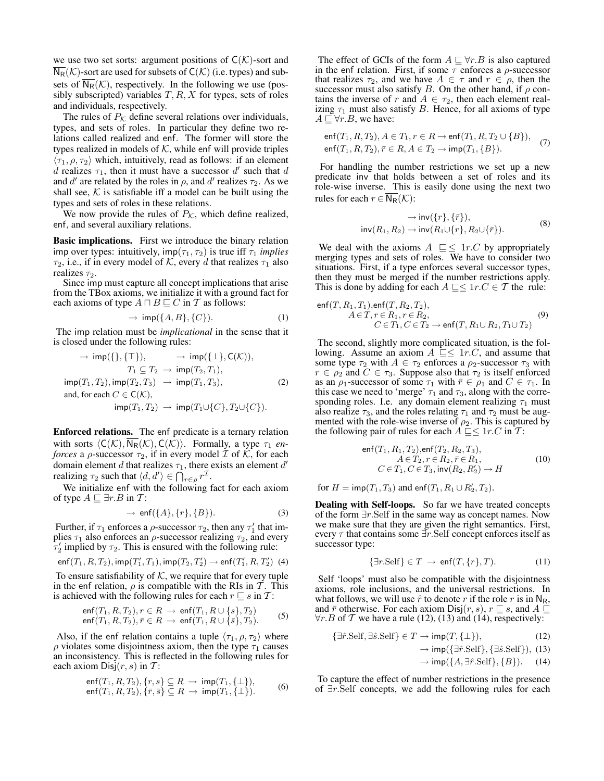we use two set sorts: argument positions of  $C(\mathcal{K})$ -sort and  $N_R(\mathcal{K})$ -sort are used for subsets of  $C(\mathcal{K})$  (i.e. types) and subsets of  $\overline{N_R}(\mathcal{K})$ , respectively. In the following we use (possibly subscripted) variables  $T, R, X$  for types, sets of roles and individuals, respectively.

The rules of  $P_K$  define several relations over individuals, types, and sets of roles. In particular they define two relations called realized and enf. The former will store the types realized in models of  $K$ , while enf will provide triples  $\langle \tau_1, \rho, \tau_2 \rangle$  which, intuitively, read as follows: if an element d realizes  $\tau_1$ , then it must have a successor d' such that d and d' are related by the roles in  $\rho$ , and d' realizes  $\tau_2$ . As we shall see,  $K$  is satisfiable iff a model can be built using the types and sets of roles in these relations.

We now provide the rules of  $P_K$ , which define realized, enf, and several auxiliary relations.

Basic implications. First we introduce the binary relation imp over types: intuitively,  $imp(\tau_1, \tau_2)$  is true iff  $\tau_1$  *implies*  $\tau_2$ , i.e., if in every model of K, every d that realizes  $\tau_1$  also realizes  $\tau_2$ .

Since imp must capture all concept implications that arise from the TBox axioms, we initialize it with a ground fact for each axioms of type  $A \sqcap B \sqsubseteq C$  in T as follows:

$$
\rightarrow \mathsf{imp}(\{A, B\}, \{C\}).\tag{1}
$$

The imp relation must be *implicational* in the sense that it is closed under the following rules:

$$
\rightarrow \text{imp}(\{\}, \{\top\}), \qquad \rightarrow \text{imp}(\{\bot\}, \mathsf{C}(\mathcal{K})),
$$
\n
$$
T_1 \subseteq T_2 \rightarrow \text{imp}(T_2, T_1),
$$
\n
$$
\text{imp}(T_1, T_2), \text{imp}(T_2, T_3) \rightarrow \text{imp}(T_1, T_3),
$$
\n
$$
\text{and, for each } C \in \mathsf{C}(\mathcal{K}),
$$
\n
$$
\text{imp}(T_1, T_2) \rightarrow \text{imp}(T_1 \cup \{C\}, T_2 \cup \{C\}).
$$
\n(2)

Enforced relations. The enf predicate is a ternary relation with sorts  $\langle C(\mathcal{K}), \overline{N_R}(\mathcal{K}), C(\mathcal{K})\rangle$ . Formally, a type  $\tau_1$  *enforces* a  $\rho$ -successor  $\tau_2$ , if in every model  $\mathcal I$  of  $\mathcal K$ , for each domain element d that realizes  $\tau_1$ , there exists an element d' realizing  $\tau_2$  such that  $\langle d, d' \rangle \in \bigcap_{r \in \rho} r^{\mathcal{I}}$ .

We initialize enf with the following fact for each axiom of type  $A \sqsubseteq \exists r.B$  in T:

$$
\rightarrow \text{ enf}(\{A\}, \{r\}, \{B\}). \tag{3}
$$

Further, if  $\tau_1$  enforces a  $\rho$ -successor  $\tau_2$ , then any  $\tau'_1$  that implies  $\tau_1$  also enforces an  $\rho$ -successor realizing  $\tau_2$ , and every  $\tau_2'$  implied by  $\tau_2$ . This is ensured with the following rule:

$$
\mathsf{enf}(T_1,R,T_2),\mathsf{imp}(T_1',T_1),\mathsf{imp}(T_2,T_2')\to\mathsf{enf}(T_1',R,T_2')\;\; (4)
$$

To ensure satisfiability of  $K$ , we require that for every tuple in the enf relation,  $\rho$  is compatible with the RIs in  $\mathcal{T}$ . This is achieved with the following rules for each  $r \sqsubseteq s$  in T:

$$
\begin{array}{l}\n\text{enf}(T_1, R, T_2), r \in R \to \text{enf}(T_1, R \cup \{s\}, T_2) \\
\text{enf}(T_1, R, T_2), \bar{r} \in R \to \text{enf}(T_1, R \cup \{\bar{s}\}, T_2).\n\end{array} \tag{5}
$$

Also, if the enf relation contains a tuple  $\langle \tau_1, \rho, \tau_2 \rangle$  where  $\rho$  violates some disjointness axiom, then the type  $\tau_1$  causes an inconsistency. This is reflected in the following rules for each axiom  $Disj(r, s)$  in T:

$$
\begin{array}{l}\n\text{enf}(T_1, R, T_2), \{r, s\} \subseteq R \rightarrow \text{imp}(T_1, \{\bot\}), \\
\text{enf}(T_1, R, T_2), \{\bar{r}, \bar{s}\} \subseteq R \rightarrow \text{imp}(T_1, \{\bot\}).\n\end{array} \tag{6}
$$

The effect of GCIs of the form  $A \sqsubseteq \forall r.B$  is also captured in the enf relation. First, if some  $\tau$  enforces a  $\rho$ -successor that realizes  $\tau_2$ , and we have  $A \in \tau$  and  $r \in \rho$ , then the successor must also satisfy B. On the other hand, if  $\rho$  contains the inverse of r and  $A \in \tau_2$ , then each element realizing  $\tau_1$  must also satisfy B. Hence, for all axioms of type  $A \sqsubseteq \forall r.B$ , we have:

$$
\text{enf}(T_1, R, T_2), A \in T_1, r \in R \to \text{enf}(T_1, R, T_2 \cup \{B\}),
$$
  
\n
$$
\text{enf}(T_1, R, T_2), \bar{r} \in R, A \in T_2 \to \text{imp}(T_1, \{B\}).
$$
 (7)

For handling the number restrictions we set up a new predicate inv that holds between a set of roles and its role-wise inverse. This is easily done using the next two rules for each  $r \in N_R(\mathcal{K})$ :

$$
\rightarrow inv({r}, {\bar{r}}),
$$
  
 
$$
inv(R_1, R_2) \rightarrow inv(R_1 \cup {r}, R_2 \cup {\bar{r}}).
$$
 (8)

We deal with the axioms  $A \subseteq \leq 1r.C$  by appropriately merging types and sets of roles. We have to consider two situations. First, if a type enforces several successor types, then they must be merged if the number restrictions apply. This is done by adding for each  $A \sqsubseteq \leq 1r.C \in \mathcal{T}$  the rule:

enf
$$
(T, R_1, T_1)
$$
, enf $(T, R_2, T_2)$ ,  
\n $A \in T, r \in R_1, r \in R_2$ ,  
\n $C \in T_1, C \in T_2 \to \text{enf}(T, R_1 \cup R_2, T_1 \cup T_2)$  (9)

The second, slightly more complicated situation, is the following. Assume an axiom  $A \subseteq \leq 1r.C$ , and assume that some type  $\tau_2$  with  $A \in \tau_2$  enforces a  $\rho_2$ -successor  $\tau_3$  with  $r \in \rho_2$  and  $C \in \tau_3$ . Suppose also that  $\tau_2$  is itself enforced as an  $\rho_1$ -successor of some  $\tau_1$  with  $\bar{r} \in \rho_1$  and  $C \in \tau_1$ . In this case we need to 'merge'  $\tau_1$  and  $\tau_3$ , along with the corresponding roles. I.e. any domain element realizing  $\tau_1$  must also realize  $\tau_3$ , and the roles relating  $\tau_1$  and  $\tau_2$  must be augmented with the role-wise inverse of  $\rho_2$ . This is captured by the following pair of rules for each  $A \sqsubseteq \leq 1r.C$  in  $\overline{T}$ :

$$
\begin{aligned}\n\text{enf}(T_1, R_1, T_2), & \text{enf}(T_2, R_2, T_3), \\
A \in T_2, r \in R_2, \bar{r} \in R_1, \\
C \in T_1, C \in T_3, \text{inv}(R_2, R_2') \to H\n\end{aligned} \tag{10}
$$

for  $H = \text{imp}(T_1, T_3)$  and enf $(T_1, R_1 \cup R'_2, T_2)$ .

Dealing with Self-loops. So far we have treated concepts of the form ∃r.Self in the same way as concept names. Now we make sure that they are given the right semantics. First, every  $\tau$  that contains some  $\exists r$ . Self concept enforces itself as successor type:

$$
\{\exists r.\text{Self}\} \in T \to \text{enf}(T, \{r\}, T). \tag{11}
$$

Self 'loops' must also be compatible with the disjointness axioms, role inclusions, and the universal restrictions. In what follows, we will use  $\hat{r}$  to denote r if the role r is in N<sub>R</sub>, and  $\bar{r}$  otherwise. For each axiom  $Disj(r, s)$ ,  $r \sqsubseteq s$ , and  $A \sqsubseteq$  $∀r.B$  of T we have a rule (12), (13) and (14), respectively:

$$
\{\exists \hat{r}.\text{Self}, \exists \hat{s}.\text{Self}\} \in T \to \text{imp}(T, \{\bot\}),\tag{12}
$$

 $\rightarrow$  imp({ $\exists \hat{r}$ .Self}, { $\exists \hat{s}$ .Self}), (13)

 $\rightarrow$  imp({ $A$ ,  $\exists \hat{r}$ . Self}, { $B$ }). (14)

To capture the effect of number restrictions in the presence of ∃r.Self concepts, we add the following rules for each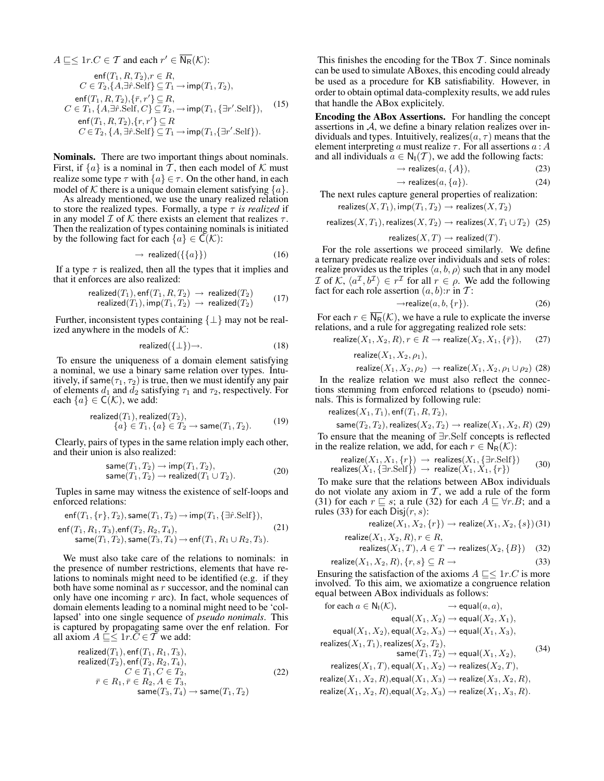$$
A \sqsubseteq \leq 1r.C \in \mathcal{T} \text{ and each } r' \in \overline{\mathsf{N}_{\mathsf{R}}}(\mathcal{K});
$$
  
\n
$$
\operatorname{enf}(T_1, R, T_2), r \in R,
$$
  
\n
$$
C \in T_2, \{A, \exists \hat{r}. \operatorname{Self} \} \subseteq T_1 \to \operatorname{imp}(T_1, T_2),
$$
  
\n
$$
\operatorname{enf}(T_1, R, T_2), \{\bar{r}, r'\} \subseteq R,
$$
  
\n
$$
C \in T_1, \{A, \exists \hat{r}. \operatorname{Self}, C\} \subseteq T_2, \to \operatorname{imp}(T_1, \{\exists r'. \operatorname{Self}\}),
$$
  
\n
$$
\operatorname{enf}(T_1, R, T_2), \{r, r'\} \subseteq R,
$$
  
\n
$$
C \in T_2, \{A, \exists \hat{r}. \operatorname{Self}\} \subseteq T_1 \to \operatorname{imp}(T_1, \{\exists r'. \operatorname{Self}\}).
$$

Nominals. There are two important things about nominals. First, if  $\{a\}$  is a nominal in T, then each model of K must realize some type  $\tau$  with  $\{a\} \in \tau$ . On the other hand, in each model of K there is a unique domain element satisfying  $\{a\}$ .

As already mentioned, we use the unary realized relation to store the realized types. Formally, a type  $\tau$  *is realized* if in any model  $\mathcal I$  of  $\mathcal K$  there exists an element that realizes  $\tau$ . Then the realization of types containing nominals is initiated by the following fact for each  $\{a\} \in C(\mathcal{K})$ :

$$
\rightarrow \text{ realized}(\{\{a\}\}) \tag{16}
$$

If a type  $\tau$  is realized, then all the types that it implies and that it enforces are also realized:

$$
\text{realized}(T_1), \text{enf}(T_1, R, T_2) \rightarrow \text{realized}(T_2) \n\text{realized}(T_1), \text{imp}(T_1, T_2) \rightarrow \text{realized}(T_2) \tag{17}
$$

Further, inconsistent types containing  $\{\perp\}$  may not be realized anywhere in the models of  $K$ :

$$
realized(\{\perp\}) \rightarrow.
$$
 (18)

To ensure the uniqueness of a domain element satisfying a nominal, we use a binary same relation over types. Intuitively, if same $(\tau_1, \tau_2)$  is true, then we must identify any pair of elements  $d_1$  and  $\overline{d_2}$  satisfying  $\tau_1$  and  $\tau_2$ , respectively. For each  $\{a\} \in \mathsf{C}(\mathcal{K})$ , we add:

$$
\text{realized}(T_1), \text{realized}(T_2), \{a\} \in T_1, \{a\} \in T_2 \to \text{same}(T_1, T_2). \tag{19}
$$

Clearly, pairs of types in the same relation imply each other, and their union is also realized:

$$
same(T_1, T_2) \rightarrow imp(T_1, T_2),
$$
  
\n
$$
same(T_1, T_2) \rightarrow realized(T_1 \cup T_2).
$$
\n(20)

Tuples in same may witness the existence of self-loops and enforced relations:

$$
enf(T_1, \{r\}, T_2), same(T_1, T_2) \to imp(T_1, \{\exists \hat{r}.Self\}),
$$
  
\n
$$
enf(T_1, R_1, T_3), enf(T_2, R_2, T_4),
$$
  
\n
$$
same(T_1, T_2), same(T_3, T_4) \to enf(T_1, R_1 \cup R_2, T_3).
$$
\n(21)

We must also take care of the relations to nominals: in the presence of number restrictions, elements that have relations to nominals might need to be identified (e.g. if they both have some nominal as  $r$  successor, and the nominal can only have one incoming  $r$  arc). In fact, whole sequences of domain elements leading to a nominal might need to be 'collapsed' into one single sequence of *pseudo nonimals*. This is captured by propagating same over the enf relation. For all axiom  $A \subseteq \subseteq 1r$ . $C \in \overline{T}$  we add:

realized
$$
(T_1)
$$
, enf $(T_1, R_1, T_3)$ ,  
realized $(T_2)$ , enf $(T_2, R_2, T_4)$ ,  
 $C \in T_1, C \in T_2$ ,  
 $\bar{r} \in R_1, \bar{r} \in R_2, A \in T_3$ ,  
same $(T_3, T_4) \rightarrow \text{same}(T_1, T_2)$  (22)

This finishes the encoding for the TBox  $T$ . Since nominals can be used to simulate ABoxes, this encoding could already be used as a procedure for KB satisfiability. However, in order to obtain optimal data-complexity results, we add rules that handle the ABox explicitely.

Encoding the ABox Assertions. For handling the concept assertions in A, we define a binary relation realizes over individuals and types. Intuitively, realizes  $(a, \tau)$  means that the element interpreting a must realize  $\tau$ . For all assertions  $a : A$ and all individuals  $a \in N_1(\mathcal{T})$ , we add the following facts:

$$
\rightarrow \text{realizes}(a, \{A\}),\tag{23}
$$

$$
\rightarrow \text{realizes}(a, \{a\}).\tag{24}
$$

The next rules capture general properties of realization: realizes $(X, T_1)$ , imp $(T_1, T_2) \rightarrow$  realizes $(X, T_2)$ 

$$
\mathsf{realizes}(X,T_1), \mathsf{realizes}(X,T_2) \to \mathsf{realizes}(X,T_1 \cup T_2) \tagsf{25}
$$

realizes
$$
(X, T)
$$
  $\rightarrow$  realized $(T)$ .

For the role assertions we proceed similarly. We define a ternary predicate realize over individuals and sets of roles: realize provides us the triples  $\langle a, b, \rho \rangle$  such that in any model *I* of K,  $\langle a^{\mathcal{I}}, b^{\mathcal{I}} \rangle \in r^{\mathcal{I}}$  for all  $r \in \rho$ . We add the following fact for each role assertion  $(a, b)$ : r in T:

$$
\rightarrow \text{realize}(a, b, \{r\}).\tag{26}
$$

For each  $r \in \overline{N_{R}}(\mathcal{K})$ , we have a rule to explicate the inverse relations, and a rule for aggregating realized role sets:

$$
\text{realize}(X_1, X_2, R), r \in R \to \text{realize}(X_2, X_1, \{\bar{r}\}), \quad (27)
$$
\n
$$
\text{realize}(X_1, X_2, \rho_1),
$$

$$
\textsf{e} \textsf{allize}(X_1,X_2,\rho_1)
$$

realize $(X_1, X_2, \rho_2) \rightarrow$  realize $(X_1, X_2, \rho_1 \cup \rho_2)$  (28) In the realize relation we must also reflect the connections stemming from enforced relations to (pseudo) nominals. This is formalized by following rule:

realizes( $X_1, T_1$ ), enf( $T_1, R, T_2$ ),

same $(T_2, T_2)$ , realizes $(X_2, T_2) \rightarrow$  realize $(X_1, X_2, R)$  (29) To ensure that the meaning of ∃r.Self concepts is reflected in the realize relation, we add, for each  $r \in N_R(\mathcal{K})$ :

$$
\text{realize}(X_1, X_1, \{r\}) \to \text{realizes}(X_1, \{\exists r. \text{Self}\}) \quad (30)
$$
\n
$$
\text{realizes}(X_1, \{\exists r. \text{Self}\}) \to \text{realize}(X_1, X_1, \{r\}) \quad (30)
$$

To make sure that the relations between ABox individuals do not violate any axiom in  $T$ , we add a rule of the form (31) for each  $r \sqsubseteq s$ ; a rule (32) for each  $A \sqsubseteq \forall r.B$ ; and a rules (33) for each  $Disj(r, s)$ :

$$
\text{realize}(X_1, X_2, \{r\}) \to \text{realize}(X_1, X_2, \{s\})
$$
(31)  

$$
\text{realize}(X_1, X_2, R) \ x \in R
$$

$$
\text{realizes}(X_1, X_2, R), r \in R,
$$
\n
$$
\text{realizes}(X_1, T), A \in T \to \text{realizes}(X_2, \{B\}) \quad (32)
$$

$$
\text{realize}(X_1, X_2, R), \{r, s\} \subseteq R \to \tag{33}
$$

Ensuring the satisfaction of the axioms  $A \sqsubseteq \leq 1r.C$  is more involved. To this aim, we axiomatize a congruence relation equal between ABox individuals as follows:

for each 
$$
a \in N_1(K)
$$
,  $\rightarrow$  equal $(a, a)$ ,  
\nequal $(X_1, X_2) \rightarrow$  equal $(X_2, X_1)$ ,  
\nequal $(X_1, X_2)$ , equal $(X_2, X_3) \rightarrow$  equal $(X_1, X_3)$ ,  
\nrealizes $(X_1, T_1)$ , realizes $(X_2, T_2)$ ,  
\nsame $(T_1, T_2) \rightarrow$  equal $(X_1, X_2)$ ,  
\nrealizes $(X_1, T)$ , equal $(X_1, X_2) \rightarrow$  realizes $(X_2, T)$ ,  
\nrealize $(X_1, X_2, R)$ ,equal $(X_1, X_3) \rightarrow$  realize $(X_3, X_2, R)$ ,

$$
\mathsf{realize}(X_1,X_2,R), \mathsf{equal}(X_2,X_3) \to \mathsf{realize}(X_1,X_3,R).
$$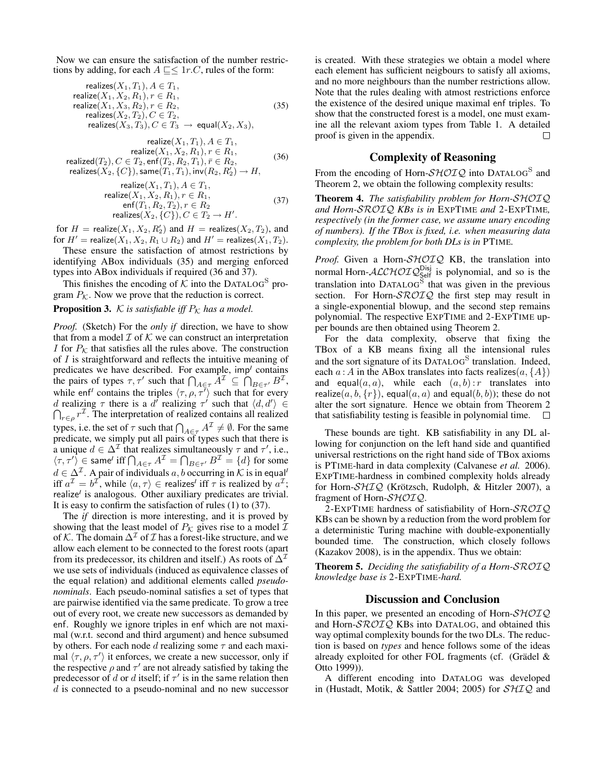Now we can ensure the satisfaction of the number restrictions by adding, for each  $A \subseteq \leq 1r.C$ , rules of the form:

$$
\begin{array}{ll}\n\text{realizes}(X_1, T_1), A \in T_1, \\
\text{realize}(X_1, X_2, R_1), r \in R_1, \\
\text{realize}(X_1, X_3, R_2), r \in R_2, \\
\text{realizes}(X_2, T_2), C \in T_2, \\
\text{realizes}(X_3, T_3), C \in T_3 \to \text{equal}(X_2, X_3),\n\end{array} \tag{35}
$$

$$
\text{realize}(X_1, T_1), A \in T_1,
$$
\n
$$
\text{realize}(X_1, X_2, R_1), r \in R_1,
$$
\n
$$
\text{realized}(T_2), C \in T_2, \text{enf}(T_2, R_2, T_1), \bar{r} \in R_2,
$$
\n
$$
\text{realizes}(X_2, \{C\}), \text{same}(T_1, T_1), \text{inv}(R_2, R_2') \to H,
$$
\n
$$
(36)
$$

$$
\begin{array}{ll}\n\text{realize}(X_1, T_1), A \in T_1, \\
\text{realize}(X_1, X_2, R_1), r \in R_1, \\
\text{enf}(T_1, R_2, T_2), r \in R_2 \\
\text{realizes}(X_2, \{C\}), C \in T_2 \to H'.\n\end{array} \tag{37}
$$

for  $H = \text{realize}(X_1, X_2, R_2')$  and  $H = \text{realizes}(X_2, T_2)$ , and for  $H'$  = realize( $X_1, X_2, R_1 \cup R_2$ ) and  $H'$  = realizes( $X_1, T_2$ ).

These ensure the satisfaction of atmost restrictions by identifying ABox individuals (35) and merging enforced types into ABox individuals if required (36 and 37).

This finishes the encoding of  $K$  into the DATALOG<sup>S</sup> program  $P_K$ . Now we prove that the reduction is correct.

### **Proposition 3.** K is satisfiable iff  $P_K$  has a model.

*Proof.* (Sketch) For the *only if* direction, we have to show that from a model  $\mathcal I$  of  $\mathcal K$  we can construct an interpretation I for  $P_K$  that satisfies all the rules above. The construction of I is straightforward and reflects the intuitive meaning of predicates we have described. For example, imp*<sup>I</sup>* contains the pairs of types  $\tau, \tau'$  such that  $\bigcap_{A \in \tau} \overline{A}^{\mathcal{I}} \subseteq \bigcap_{B \in \tau'} B^{\mathcal{I}},$ while enf<sup>*I*</sup> contains the triples  $\langle \tau, \rho, \tau^{\overline{\prime}} \rangle$  such that for every d realizing  $\tau$  there is a d<sup>*i*</sup> realizing  $\tau'$  such that  $\langle d, d' \rangle \in$  $\bigcap_{r \in \rho} r^{\mathcal{I}}$ . The interpretation of realized contains all realized types, i.e. the set of  $\tau$  such that  $\bigcap_{A \in \tau} A^\mathcal{I} \neq \emptyset.$  For the same predicate, we simply put all pairs of types such that there is a unique  $d \in \Delta^{\mathcal{I}}$  that realizes simultaneously  $\tau$  and  $\tau'$ , i.e.,  $\langle \tau, \tau' \rangle \in \mathsf{same}^{\prime}$  iff  $\bigcap_{A \in \tau} A^{\mathcal{I}} = \bigcap_{B \in \tau'} B^{\mathcal{I}} = \{d\}$  for some  $d \in \Delta^{\mathcal{I}}$ . A pair of individuals  $a, b$  occurring in  $\mathcal{K}$  is in equal<sup>*l*</sup> iff  $a^{\mathcal{I}} = b^{\mathcal{I}}$ , while  $\langle a, \tau \rangle \in$  realizes<sup>*I*</sup> iff  $\tau$  is realized by  $a^{\mathcal{I}}$ ; realize<sup>*I*</sup> is analogous. Other auxiliary predicates are trivial. It is easy to confirm the satisfaction of rules (1) to (37).

The *if* direction is more interesting, and it is proved by showing that the least model of  $P_K$  gives rise to a model  $\mathcal I$ of K. The domain  $\Delta^{\mathcal{I}}$  of  $\mathcal I$  has a forest-like structure, and we allow each element to be connected to the forest roots (apart from its predecessor, its children and itself.) As roots of  $\Delta^{\mathcal{I}}$ we use sets of individuals (induced as equivalence classes of the equal relation) and additional elements called *pseudonominals*. Each pseudo-nominal satisfies a set of types that are pairwise identified via the same predicate. To grow a tree out of every root, we create new successors as demanded by enf. Roughly we ignore triples in enf which are not maximal (w.r.t. second and third argument) and hence subsumed by others. For each node d realizing some  $\tau$  and each maximal  $\langle \tau, \rho, \tau' \rangle$  it enforces, we create a new successor, only if the respective  $\rho$  and  $\tau'$  are not already satisfied by taking the predecessor of d or d itself; if  $\tau'$  is in the same relation then d is connected to a pseudo-nominal and no new successor

is created. With these strategies we obtain a model where each element has sufficient neigbours to satisfy all axioms, and no more neighbours than the number restrictions allow. Note that the rules dealing with atmost restrictions enforce the existence of the desired unique maximal enf triples. To show that the constructed forest is a model, one must examine all the relevant axiom types from Table 1. A detailed proof is given in the appendix.  $\Box$ 

### Complexity of Reasoning

From the encoding of Horn- $\mathcal{SHOIQ}$  into DATALOG<sup>S</sup> and Theorem 2, we obtain the following complexity results:

Theorem 4. *The satisfiability problem for Horn-*SHOIQ *and Horn-*SROIQ *KBs is in* EXPTIME *and* 2-EXPTIME*, respectively (in the former case, we assume unary encoding of numbers). If the TBox is fixed, i.e. when measuring data complexity, the problem for both DLs is in* PTIME*.*

Proof. Given a Horn-SHOIQ KB, the translation into normal Horn- $\mathcal{ALCHOLQ}_{\mathsf{Self}}^{\mathsf{Disj}}$  is polynomial, and so is the translation into DATALOG<sup>S</sup> that was given in the previous section. For Horn- $\mathcal{SROIQ}$  the first step may result in a single-exponential blowup, and the second step remains polynomial. The respective EXPTIME and 2-EXPTIME upper bounds are then obtained using Theorem 2.

For the data complexity, observe that fixing the TBox of a KB means fixing all the intensional rules and the sort signature of its DATALOG<sup>S</sup> translation. Indeed, each  $a : A$  in the ABox translates into facts realizes(a, {A}) and equal $(a, a)$ , while each  $(a, b) : r$  translates into realize $(a, b, \{r\})$ , equal $(a, a)$  and equal $(b, b)$ ); these do not alter the sort signature. Hence we obtain from Theorem 2 that satisfiability testing is feasible in polynomial time. П

These bounds are tight. KB satisfiability in any DL allowing for conjunction on the left hand side and quantified universal restrictions on the right hand side of TBox axioms is PTIME-hard in data complexity (Calvanese *et al.* 2006). EXPTIME-hardness in combined complexity holds already for Horn-SHIQ (Krötzsch, Rudolph, & Hitzler 2007), a fragment of Horn-SHOIQ.

2-EXPTIME hardness of satisfiability of Horn-SROIQ KBs can be shown by a reduction from the word problem for a deterministic Turing machine with double-exponentially bounded time. The construction, which closely follows (Kazakov 2008), is in the appendix. Thus we obtain:

Theorem 5. *Deciding the satisfiability of a Horn-*SROIQ *knowledge base is* 2-EXPTIME*-hard.*

#### Discussion and Conclusion

In this paper, we presented an encoding of Horn- $\mathcal{SHOIQ}$ and Horn-SROIQ KBs into DATALOG, and obtained this way optimal complexity bounds for the two DLs. The reduction is based on *types* and hence follows some of the ideas already exploited for other FOL fragments (cf. (Grädel  $\&$ Otto 1999)).

A different encoding into DATALOG was developed in (Hustadt, Motik, & Sattler 2004; 2005) for SHIQ and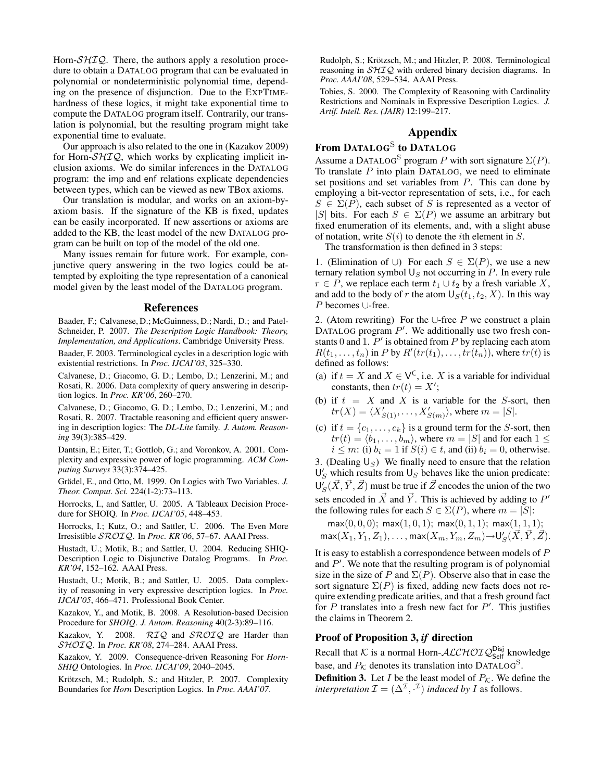Horn- $\mathcal{SHTQ}$ . There, the authors apply a resolution procedure to obtain a DATALOG program that can be evaluated in polynomial or nondeterministic polynomial time, depending on the presence of disjunction. Due to the EXPTIMEhardness of these logics, it might take exponential time to compute the DATALOG program itself. Contrarily, our translation is polynomial, but the resulting program might take exponential time to evaluate.

Our approach is also related to the one in (Kazakov 2009) for Horn- $\mathcal{SHIQ}$ , which works by explicating implicit inclusion axioms. We do similar inferences in the DATALOG program: the imp and enf relations explicate dependencies between types, which can be viewed as new TBox axioms.

Our translation is modular, and works on an axiom-byaxiom basis. If the signature of the KB is fixed, updates can be easily incorporated. If new assertions or axioms are added to the KB, the least model of the new DATALOG program can be built on top of the model of the old one.

Many issues remain for future work. For example, conjunctive query answering in the two logics could be attempted by exploiting the type representation of a canonical model given by the least model of the DATALOG program.

#### References

Baader, F.; Calvanese, D.; McGuinness, D.; Nardi, D.; and Patel-Schneider, P. 2007. *The Description Logic Handbook: Theory, Implementation, and Applications*. Cambridge University Press.

Baader, F. 2003. Terminological cycles in a description logic with existential restrictions. In *Proc. IJCAI'03*, 325–330.

Calvanese, D.; Giacomo, G. D.; Lembo, D.; Lenzerini, M.; and Rosati, R. 2006. Data complexity of query answering in description logics. In *Proc. KR'06*, 260–270.

Calvanese, D.; Giacomo, G. D.; Lembo, D.; Lenzerini, M.; and Rosati, R. 2007. Tractable reasoning and efficient query answering in description logics: The *DL-Lite* family. *J. Autom. Reasoning* 39(3):385–429.

Dantsin, E.; Eiter, T.; Gottlob, G.; and Voronkov, A. 2001. Complexity and expressive power of logic programming. *ACM Computing Surveys* 33(3):374–425.

Grädel, E., and Otto, M. 1999. On Logics with Two Variables. *J. Theor. Comput. Sci.* 224(1-2):73–113.

Horrocks, I., and Sattler, U. 2005. A Tableaux Decision Procedure for SHOIQ. In *Proc. IJCAI'05*, 448–453.

Horrocks, I.; Kutz, O.; and Sattler, U. 2006. The Even More Irresistible SROIQ. In *Proc. KR'06*, 57–67. AAAI Press.

Hustadt, U.; Motik, B.; and Sattler, U. 2004. Reducing SHIQ-Description Logic to Disjunctive Datalog Programs. In *Proc. KR'04*, 152–162. AAAI Press.

Hustadt, U.; Motik, B.; and Sattler, U. 2005. Data complexity of reasoning in very expressive description logics. In *Proc. IJCAI'05*, 466–471. Professional Book Center.

Kazakov, Y., and Motik, B. 2008. A Resolution-based Decision Procedure for *SHOIQ*. *J. Autom. Reasoning* 40(2-3):89–116.

Kazakov, Y. 2008. RIQ and SROIQ are Harder than SHOIQ. In *Proc. KR'08*, 274–284. AAAI Press.

Kazakov, Y. 2009. Consequence-driven Reasoning For *Horn-SHIQ* Ontologies. In *Proc. IJCAI'09*, 2040–2045.

Krötzsch, M.; Rudolph, S.; and Hitzler, P. 2007. Complexity Boundaries for *Horn* Description Logics. In *Proc. AAAI'07*.

Rudolph, S.; Krötzsch, M.; and Hitzler, P. 2008. Terminological reasoning in  $\mathcal{SHIQ}$  with ordered binary decision diagrams. In *Proc. AAAI'08*, 529–534. AAAI Press.

Tobies, S. 2000. The Complexity of Reasoning with Cardinality Restrictions and Nominals in Expressive Description Logics. *J. Artif. Intell. Res. (JAIR)* 12:199–217.

## Appendix

# From Datalog $^{\rm S}$  to Datalog

Assume a DATALOG<sup>S</sup> program P with sort signature  $\Sigma(P)$ . To translate  $P$  into plain DATALOG, we need to eliminate set positions and set variables from  $P$ . This can done by employing a bit-vector representation of sets, i.e., for each  $S \in \Sigma(P)$ , each subset of S is represented as a vector of |S| bits. For each  $S \in \Sigma(P)$  we assume an arbitrary but fixed enumeration of its elements, and, with a slight abuse of notation, write  $S(i)$  to denote the *i*th element in S.

The transformation is then defined in 3 steps:

1. (Elimination of ∪) For each  $S \in \Sigma(P)$ , we use a new ternary relation symbol  $\bigcup_S$  not occurring in P. In every rule  $r \in P$ , we replace each term  $t_1 \cup t_2$  by a fresh variable X, and add to the body of r the atom  $\bigcup_{S}(t_1, t_2, X)$ . In this way P becomes ∪-free.

2. (Atom rewriting) For the ∪-free P we construct a plain DATALOG program  $P'$ . We additionally use two fresh constants 0 and 1.  $P'$  is obtained from P by replacing each atom  $R(t_1, \ldots, t_n)$  in P by  $R'(tr(t_1), \ldots, tr(t_n))$ , where  $tr(t)$  is defined as follows:

- (a) if  $t = X$  and  $X \in V^{\mathsf{C}}$ , i.e. X is a variable for individual constants, then  $tr(t) = X'$ ;
- (b) if  $t = X$  and X is a variable for the S-sort, then  $tr(X) = \langle X'_{S(1)}, \ldots, X'_{S(m)} \rangle$ , where  $m = |S|$ .
- (c) if  $t = \{c_1, \ldots, c_k\}$  is a ground term for the *S*-sort, then  $tr(t) = \langle b_1, \ldots, b_m \rangle$ , where  $m = |S|$  and for each  $1 \leq$  $i \leq m$ : (i)  $b_i = 1$  if  $S(i) \in t$ , and (ii)  $b_i = 0$ , otherwise.

3. (Dealing  $\mathsf{U}_S$ ) We finally need to ensure that the relation  $\mathsf{U}_S'$  which results from  $\mathsf{U}_S$  behaves like the union predicate:  $\mathsf{U}_S'(\vec{X}, \vec{Y}, \vec{Z})$  must be true if  $\vec{Z}$  encodes the union of the two sets encoded in  $\vec{X}$  and  $\vec{Y}$ . This is achieved by adding to P' the following rules for each  $S \in \Sigma(P)$ , where  $m = |S|$ :

 $max(0, 0, 0)$ ;  $max(1, 0, 1)$ ;  $max(0, 1, 1)$ ;  $max(1, 1, 1)$ ;  $\textsf{max}(X_1,Y_1,Z_1),\ldots,\textsf{max}(X_m,Y_m,Z_m){\rightarrow}\mathsf{U}'_S(\vec{X},\vec{Y},\vec{Z}).$ 

It is easy to establish a correspondence between models of P and  $P'$ . We note that the resulting program is of polynomial size in the size of P and  $\Sigma(P)$ . Observe also that in case the sort signature  $\Sigma(P)$  is fixed, adding new facts does not require extending predicate arities, and that a fresh ground fact for  $P$  translates into a fresh new fact for  $P'$ . This justifies the claims in Theorem 2.

### Proof of Proposition 3, *if* direction

Recall that K is a normal Horn- $\text{ALCHOTQ}_{\text{Self}}^{\text{Disj}}$  knowledge base, and  $P_K$  denotes its translation into DATALOG<sup>S</sup>.

**Definition 3.** Let *I* be the least model of  $P_K$ . We define the *interpretation*  $\mathcal{I} = (\Delta^{\mathcal{I}}, \cdot^{\mathcal{I}})$  *induced by I* as follows.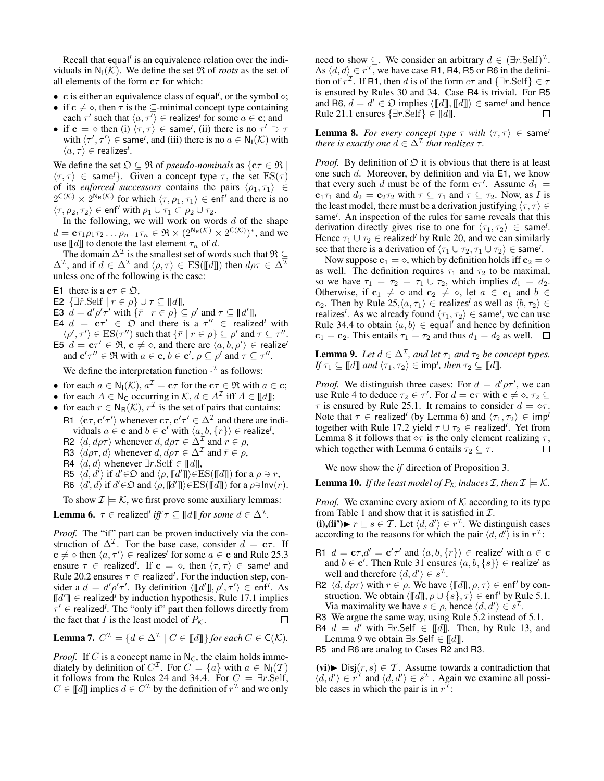Recall that equal<sup>*I*</sup> is an equivalence relation over the individuals in  $N_1(\mathcal{K})$ . We define the set  $\Re$  of *roots* as the set of all elements of the form  $c\tau$  for which:

- c is either an equivalence class of equal<sup>*, or the symbol*  $\diamond$ *;</sup>*
- if  $c \neq \diamond$ , then  $\tau$  is the  $\subseteq$ -minimal concept type containing each  $\tau'$  such that  $\langle a, \tau' \rangle \in$  realizes<sup>*I*</sup> for some  $a \in \mathbf{c}$ ; and
- if  $\mathbf{c} = \diamond$  then (i)  $\langle \tau, \tau \rangle \in \mathsf{same}^I$ , (ii) there is no  $\tau' \supset \tau$ with  $\langle \tau', \tau' \rangle \in \text{same}^j$ , and (iii) there is no  $a \in N_I(\mathcal{K})$  with  $\langle a, \tau \rangle \in$  realizes<sup>*I*</sup>.

We define the set  $\mathfrak{O} \subseteq \mathfrak{R}$  of *pseudo-nominals* as  $\{c\tau \in \mathfrak{R} \mid$  $\langle \tau, \tau \rangle \in \mathsf{same}^{\prime}$ . Given a concept type  $\tau$ , the set  $\mathrm{ES}(\tau)$ of its *enforced successors* contains the pairs  $\langle \rho_1, \tau_1 \rangle \in$  $2^{\mathsf{C}(\mathcal{K})} \times 2^{\mathsf{N}_{\mathsf{R}}(\mathcal{K})}$  for which  $\langle \tau, \rho_1, \tau_1 \rangle \in \mathsf{enf}^{\mathcal{I}}$  and there is no  $\langle \tau, \rho_2, \tau_2 \rangle \in \text{enf}^I$  with  $\rho_1 \cup \tau_1 \subset \rho_2 \cup \tau_2$ .

In the following, we will work on words  $d$  of the shape  $d = \mathbf{c}\tau_1\rho_1\tau_2\ldots\rho_{n-1}\tau_n \in \Re \times (2^{\mathsf{N}_{\mathsf{R}}(\mathcal{K})} \times 2^{\mathsf{C}(\mathcal{K})})^*$ , and we use  $[[d]]$  to denote the last element  $\tau_n$  of d.

The domain  $\Delta^\mathcal{I}$  is the smallest set of words such that  $\mathfrak{R}\subseteq$  $\Delta^{\mathcal{I}}$ , and if  $d \in \Delta^{\mathcal{I}}$  and  $\langle \rho, \tau \rangle \in ES(\llbracket d \rrbracket)$  then  $d\rho\tau \in \Delta^{\mathcal{I}}$ unless one of the following is the case:

- E1 there is a  $c\tau \in \mathfrak{O}$ ,
- **E2**  $\{\exists \hat{r}.\text{Self} \mid r \in \rho\} \cup \tau \subseteq [\![d]\!],$
- E3  $\tilde{d} = d' \rho' \tau'$  with  $\{\bar{r} \mid r \in \rho\} \subseteq \rho'$  and  $\tau \subseteq [d']$ ,
- E4  $d = c\tau' \in \mathfrak{O}$  and there is a  $\tau'' \in \mathsf{realized}^I$  with  $\langle \rho', \tau' \rangle \in ES(\tau'')$  such that  $\{\bar{r} \mid r \in \rho\} \subseteq \rho'$  and  $\tau \subseteq \tau''$ .
- E5  $d = \mathbf{c}\tau' \in \mathfrak{R}$ ,  $\mathbf{c} \neq \diamond$ , and there are  $\langle a, b, \rho' \rangle \in \text{realize}^l$ and  $\mathbf{c}'\tau'' \in \mathfrak{R}$  with  $a \in \mathbf{c}, b \in \mathbf{c}', \rho \subseteq \rho'$  and  $\tau \subseteq \tau''$ .

We define the interpretation function  $\cdot^{\mathcal{I}}$  as follows:

- for each  $a \in \mathsf{N}_{\mathsf{I}}(\mathcal{K}), a^{\mathcal{I}} = \mathbf{c}\tau$  for the  $\mathbf{c}\tau \in \mathfrak{R}$  with  $a \in \mathbf{c}$ ;
- for each  $A \in \mathbb{N}_{\mathsf{C}}$  occurring in  $\mathcal{K}, d \in A^{\mathcal{I}}$  iff  $A \in [\![d]\!]$ ;
- for each  $r \in N_R(\mathcal{K})$ ,  $r^{\mathcal{I}}$  is the set of pairs that contains: R1  $\langle c\tau, c'\tau'\rangle$  whenever  $c\tau, c'\tau' \in \Delta^{\mathcal{I}}$  and there are indi-

viduals  $a \in \mathbf{c}$  and  $b \in \mathbf{c}'$  with  $\langle a, b, \{r\} \rangle \in \mathbf{realize}^I$ ,

R2  $\langle d, d\rho\tau \rangle$  whenever  $d, d\rho\tau \in \Delta^{\mathcal{I}}$  and  $r \in \rho$ , R3  $\langle d\rho\tau, d\rangle$  whenever  $d, d\rho\tau \in \Delta^{\mathcal{I}}$  and  $\bar{r} \in \rho$ ,

- 
- R4  $\langle d, d \rangle$  whenever ∃r.Self ∈ [[d]],
- R5  $\langle d, d' \rangle$  if  $d' \in \mathfrak{O}$  and  $\langle \rho, \llbracket d' \rrbracket \rangle \in ES(\llbracket d \rrbracket)$  for a  $\rho \ni r$ ,
- R6  $\langle d, d \rangle$  if  $d' \in \mathfrak{O}$  and  $\langle \rho, [\![d']\!]\rangle \in ES([\![d]\!])$  for a  $\rho \ni \mathsf{Inv}(r)$ .

To show  $\mathcal{I} \models \mathcal{K}$ , we first prove some auxiliary lemmas:

**Lemma 6.**  $\tau \in$  realized<sup>*I*</sup> *iff*  $\tau \subseteq [\![d]\!]$  *for some*  $d \in \Delta^{\mathcal{I}}$ *.* 

*Proof.* The "if" part can be proven inductively via the construction of  $\Delta^{\mathcal{I}}$ . For the base case, consider  $d = c\tau$ . If  $c \neq \diamond$  then  $\langle a, \tau' \rangle \in$  realizes<sup>*I*</sup> for some  $a \in \mathbf{c}$  and Rule 25.3 ensure  $\tau \in$  realized<sup>*I*</sup>. If  $\mathbf{c} = \diamond$ , then  $\langle \tau, \tau \rangle \in$  same*I* and Rule 20.2 ensures  $\tau \in$  realized<sup>*I*</sup>. For the induction step, consider a  $d = d' \rho' \tau'$ . By definition  $\langle \llbracket d' \rrbracket, \rho', \tau' \rangle \in \text{enf}^I$ . As  $[[d']] \in$  realized<sup>*I*</sup> by induction hypothesis, Rule 17.1 implies  $\tau' \in \text{realized}^I$ . The "only if" part then follows directly from the fact that I is the least model of  $P_K$ .  $\Box$ 

**Lemma 7.** 
$$
C^{\mathcal{I}} = \{d \in \Delta^{\mathcal{I}} \mid C \in [\![d]\!]\}
$$
 for each  $C \in C(\mathcal{K})$ .

*Proof.* If C is a concept name in  $N_c$ , the claim holds immediately by definition of  $C^{\mathcal{I}}$ . For  $C = \{a\}$  with  $a \in \mathsf{N}_{\mathsf{I}}(\mathcal{T})$ it follows from the Rules 24 and 34.4. For  $C = \exists r \cdot \text{Self}$ ,  $C \in \llbracket d \rrbracket$  implies  $d \in C^{\mathcal{I}}$  by the definition of  $r^{\mathcal{I}}$  and we only

need to show  $\subseteq$ . We consider an arbitrary  $d \in (\exists r.\text{Self})^{\mathcal{I}}$ . As  $\langle d, d \rangle \in r^{\mathcal{I}}$ , we have case R1, R4, R5 or R6 in the definition of  $r^{\mathcal{I}}$ . If R1, then d is of the form  $c\tau$  and  $\{\exists r.\text{Self}\}\in\tau$ is ensured by Rules 30 and 34. Case R4 is trivial. For R5 and R6,  $d = d' \in \mathfrak{O}$  implies  $\langle \llbracket d \rrbracket, \llbracket d \rrbracket \rangle \in \mathsf{same}^I$  and hence Rule 21.1 ensures  $\{\exists r.\text{Self}\}\in \llbracket d\rrbracket.$ П

**Lemma 8.** *For every concept type*  $\tau$  *with*  $\langle \tau, \tau \rangle \in \mathsf{same}^I$ *there is exactly one*  $d \in \Delta^{\mathcal{I}}$  *that realizes*  $\tau$ *.* 

*Proof.* By definition of  $D$  it is obvious that there is at least one such  $d$ . Moreover, by definition and via E1, we know that every such d must be of the form  $c\tau'$ . Assume  $d_1 =$  **and**  $d_2 = **c**<sub>2</sub>τ<sub>2</sub>$  **with**  $τ \subseteq τ<sub>1</sub>$  **and**  $τ \subseteq τ<sub>2</sub>$ **. Now, as I is** the least model, there must be a derivation justifying  $\langle \tau, \tau \rangle \in$ same<sup>*I*</sup>. An inspection of the rules for same reveals that this derivation directly gives rise to one for  $\langle \tau_1, \tau_2 \rangle \in \mathsf{same}^I$ . Hence  $\tau_1 \cup \tau_2 \in \text{realized}^I$  by Rule 20, and we can similarly see that there is a derivation of  $\langle \tau_1 \cup \tau_2, \tau_1 \cup \tau_2 \rangle \in \mathsf{same}^I$ .

Now suppose  $c_1 = \diamond$ , which by definition holds iff  $c_2 = \diamond$ as well. The definition requires  $\tau_1$  and  $\tau_2$  to be maximal, so we have  $\tau_1 = \tau_2 = \tau_1 \cup \tau_2$ , which implies  $d_1 = d_2$ . Otherwise, if  $c_1 \neq \infty$  and  $c_2 \neq \infty$ , let  $a \in c_1$  and  $b \in \infty$ **c**<sub>2</sub>. Then by Rule 25, $\langle a, \tau_1 \rangle \in$  realizes<sup>*I*</sup> as well as  $\langle b, \tau_2 \rangle \in$ realizes<sup>*I*</sup>. As we already found  $\langle \tau_1, \tau_2 \rangle \in \mathsf{same}^I$ , we can use Rule 34.4 to obtain  $\langle a, b \rangle \in$  equal<sup>*I*</sup> and hence by definition  $c_1 = c_2$ . This entails  $\tau_1 = \tau_2$  and thus  $d_1 = d_2$  as well.  $\Box$ 

**Lemma 9.** Let  $d \in \Delta^{\mathcal{I}}$ , and let  $\tau_1$  and  $\tau_2$  be concept types. *If*  $\tau_1 \subseteq \llbracket d \rrbracket$  *and*  $\langle \tau_1, \tau_2 \rangle \in \text{imp}^I$ *, then*  $\tau_2 \subseteq \llbracket d \rrbracket$ *.* 

*Proof.* We distinguish three cases: For  $d = d' \rho \tau'$ , we can use Rule 4 to deduce  $\tau_2 \in \tau'$ . For  $d = \mathbf{c}\tau$  with  $\mathbf{c} \neq \infty$ ,  $\tau_2 \subseteq$  $\tau$  is ensured by Rule 25.1. It remains to consider  $d = \infty \tau$ . Note that  $\tau \in \text{realized}^I$  (by Lemma 6) and  $\langle \tau_1, \tau_2 \rangle \in \text{imp}^I$ together with Rule 17.2 yield  $\tau \cup \tau_2 \in$  realized<sup>*I*</sup>. Yet from Lemma 8 it follows that  $\Diamond \tau$  is the only element realizing  $\tau$ , which together with Lemma 6 entails  $\tau_2 \subseteq \tau$ . П

We now show the *if* direction of Proposition 3.

**Lemma 10.** *If the least model of*  $P_K$  *induces*  $\mathcal{I}$ *, then*  $\mathcal{I} \models \mathcal{K}$ *.* 

*Proof.* We examine every axiom of  $K$  according to its type from Table 1 and show that it is satisfied in  $\mathcal{I}$ .

 $(i), (ii') \triangleright r \sqsubseteq s \in \mathcal{T}$ . Let  $\langle d, d' \rangle \in r^{\mathcal{I}}$ . We distinguish cases according to the reasons for which the pair  $\langle d, d' \rangle$  is in  $r^{\mathcal{I}}$ :

- R1  $d = \mathbf{c}\tau, d' = \mathbf{c}'\tau'$  and  $\langle a, b, \{r\}\rangle \in \text{realize}^I$  with  $a \in \mathbf{c}$ and  $b \in \mathbf{c}'$ . Then Rule 31 ensures  $\langle a, b, \{s\} \rangle \in \text{realize}^I$  as well and therefore  $\langle d, d' \rangle \in s^{\mathcal{I}}$ .
- R2  $\langle d, d\rho\tau \rangle$  with  $r \in \rho$ . We have  $\langle [d], \rho, \tau \rangle \in \text{enf}^I$  by construction. We obtain  $\langle [[d]], \rho \cup \{s\}, \tau \rangle \in \text{enf}^I$  by Rule 5.1. Via maximality we have  $s \in \rho$ , hence  $\langle d, d' \rangle \in s^{\mathcal{I}}$ .

R3 We argue the same way, using Rule 5.2 instead of 5.1.

R4  $d = d'$  with  $\exists r$ . Self  $\in [d]$ . Then, by Rule 13, and Lemma 9 we obtain  $\exists s.\mathsf{Self} \in [\![d]\!]$ .

R5 and R6 are analog to Cases R2 and R3.

(vi) $\blacktriangleright$  Disj $(r, s) \in \mathcal{T}$ . Assume towards a contradiction that  $\langle d, d' \rangle \in r^{\mathcal{I}}$  and  $\langle d, d' \rangle \in s^{\mathcal{I}}$ . Again we examine all possible cases in which the pair is in  $r^2$ :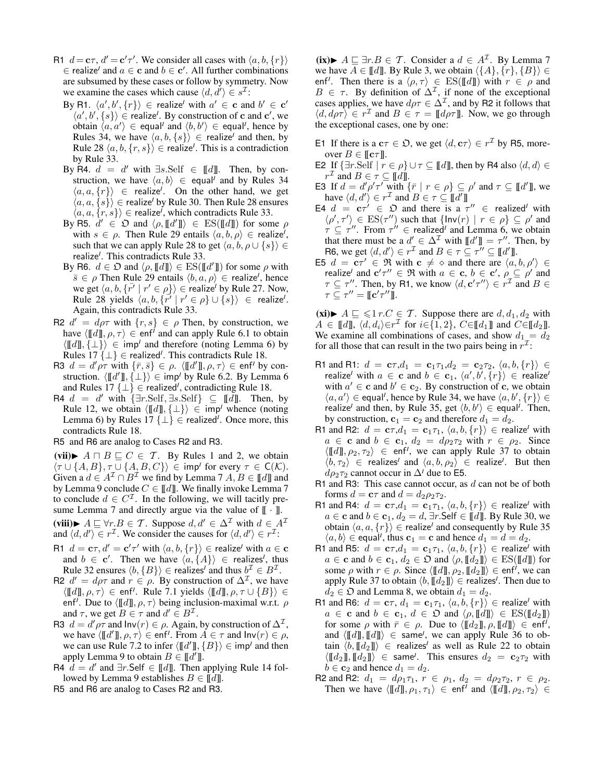- R1  $d = \mathbf{c}\tau$ ,  $d' = \mathbf{c}'\tau'$ . We consider all cases with  $\langle a, b, \{r\}\rangle$  $\in$  realize<sup>*I*</sup> and  $a \in \mathbf{c}$  and  $b \in \mathbf{c}'$ . All further combinations are subsumed by these cases or follow by symmetry. Now we examine the cases which cause  $\langle d, d' \rangle \in s^{\mathcal{I}}$ :
	- By R1.  $\langle a', b', \{r\}\rangle \in$  realize<sup>*I*</sup> with  $a' \in \mathbf{c}$  and  $b' \in \mathbf{c}'$  $\langle a', b', \{s\} \rangle \in \text{realize}^I$ . By construction of c and c', we obtain  $\langle a, a' \rangle \in$  equal<sup>*I*</sup> and  $\langle b, b' \rangle \in$  equal<sup>*I*</sup>, hence by Rules 34, we have  $\langle a, b, \{s\}\rangle \in \text{realize}^I$  and then, by Rule 28  $\langle a, b, \{r, s\}\rangle \in \text{realize}^I$ . This is a contradiction by Rule 33.
	- By R4.  $d = d'$  with  $\exists s. \text{Self } \in [\![d]\!]$ . Then, by construction, we have  $\langle a, b \rangle \in$  equal<sup>*I*</sup> and by Rules 34  $\langle a, a, \{r\}\rangle \in$  realize<sup>*I*</sup>. On the other hand, we get  $\langle a, a, \{s\}\rangle \in \text{realize}^I$  by Rule 30. Then Rule 28 ensures  $\langle a, a, \{r, s\}\rangle \in \text{realize}^I$ , which contradicts Rule 33.
	- By R5.  $d' \in \mathfrak{O}$  and  $\langle \rho, [\![d']\!] \rangle \in ES([\![d]\!])$  for some  $\rho$ with  $s \in \rho$ . Then Rule 29 entails  $\langle a, b, \rho \rangle \in$  realize<sup>*I*</sup>, such that we can apply Rule 28 to get  $\langle a, b, \rho \cup \{s\} \rangle \in$ realize*<sup>I</sup>* . This contradicts Rule 33.
	- By R6.  $d \in \mathfrak{O}$  and  $\langle \rho, \llbracket d \rrbracket \rangle \in \mathrm{ES}(\llbracket d' \rrbracket)$  for some  $\rho$  with  $\overline{s} \in \rho$  Then Rule 29 entails  $\langle b, a, \rho \rangle \in \mathsf{realize}^I$ , hence we get  $\langle a, b, \{r^r \mid r^r \in \rho \} \rangle \in \text{realize}^I$  by Rule 27. Now,  $\text{Rule 28 yields } \langle a, b, \{r' \mid r' \in \rho\} \cup \{s\} \rangle \ \in \ \text{realize}^I.$ Again, this contradicts Rule 33.
- R2  $d' = d\rho \tau$  with  $\{r, s\} \in \rho$  Then, by construction, we have  $\langle \llbracket d \rrbracket, \rho, \tau \rangle \in \text{enf}^I$  and can apply Rule 6.1 to obtain  $\langle \llbracket d \rrbracket, \{\perp\} \rangle \in \text{imp}^I$  and therefore (noting Lemma 6) by Rules  $17 \{\perp\} \in \text{realized}^I$ . This contradicts Rule 18.
- R3  $d = d'\rho\tau$  with  $\{\bar{r}, \bar{s}\} \in \rho$ .  $\langle \llbracket d' \rrbracket, \rho, \tau \rangle \in \text{enf}^I$  by construction.  $\langle \llbracket d' \rrbracket, \{\perp\} \rangle \in \text{imp}^I$  by Rule 6.2. By Lemma 6 and Rules  $17 \{\perp\} \in \text{realized}^1$ , contradicting Rule 18.
- $R4 \, d = d'$  with  $\{\exists r.\text{Self}, \exists s.\text{Self}\} \subseteq [d]$ . Then, by Rule 12, we obtain  $\langle [[d]], {\{\perp\}} \rangle \in \text{imp}^I$  whence (noting Lemma 6) by Rules  $17 \{\perp\} \in \text{realized}^{\prime}$ . Once more, this contradicts Rule 18.
- R5 and R6 are analog to Cases R2 and R3.

(vii) $\blacktriangleright$   $A \sqcap B \sqsubseteq C \in \mathcal{T}$ . By Rules 1 and 2, we obtain  $\langle \tau \cup \{A, B\}, \tau \cup \{A, B, C\} \rangle \in \text{imp}^{\prime}$  for every  $\tau \in \mathsf{C}(\mathcal{K})$ . Given a  $d \in A^{\mathcal{I}} \cap B^{\mathcal{I}}$  we find by Lemma 7  $A, B \in \llbracket d \rrbracket$  and by Lemma 9 conclude  $C \in [d]$ . We finally invoke Lemma 7 to conclude  $d \in C^{\mathcal{I}}$ . In the following, we will tacitly presume Lemma 7 and directly argue via the value of  $[\![\cdot]\!]$ . (viii)►  $A \sqsubseteq \forall r.B \in \mathcal{T}$ . Suppose  $d, d' \in \Delta^{\mathcal{I}}$  with  $d \in A^{\mathcal{I}}$ and  $\langle d, d' \rangle \in r^{\mathcal{I}}$ . We consider the causes for  $\langle d, d' \rangle \in r^{\mathcal{I}}$ :

- R1  $d = \mathbf{c}\tau, d' = \mathbf{c}'\tau'$  with  $\langle a, b, \{r\}\rangle \in \text{realize}^I$  with  $a \in \mathbf{c}$ and  $b \in \mathbf{c}'$ . Then we have  $\langle a, \{A\} \rangle \in \mathbf{realizes}^I$ , thus Rule 32 ensures  $\langle b, \{B\} \rangle \in$  realizes<sup>*I*</sup> and thus  $b^{\mathcal{I}} \in B^{\mathcal{I}}$ .
- R2  $d' = d\rho \tau$  and  $r \in \rho$ . By construction of  $\Delta^{\mathcal{I}}$ , we have  $\langle \llbracket d \rrbracket, \rho, \tau \rangle \in \text{enf}^I$ . Rule 7.1 yields  $\langle \llbracket d \rrbracket, \rho, \tau \cup \{B\} \rangle \in$ enf<sup>*I*</sup>. Due to  $\langle \llbracket d \rrbracket, \rho, \tau \rangle$  being inclusion-maximal w.r.t.  $\rho$ and  $\tau$ , we get  $B \in \tau$  and  $d' \in B^{\mathcal{I}}$ .
- R3  $d = d' \rho \tau$  and  $\text{Inv}(r) \in \rho$ . Again, by construction of  $\Delta^{\mathcal{I}}$ , we have  $\langle \llbracket d' \rrbracket, \rho, \tau \rangle \in \text{enf}^I$ . From  $A \in \tau$  and  $\text{Inv}(r) \in \rho$ , we can use Rule 7.2 to infer  $\langle \llbracket d' \rrbracket, \{B\} \rangle \in \mathsf{imp}^I$  and then apply Lemma 9 to obtain  $B \in [d']$ .
- R4  $d = d'$  and  $\exists r$ . Self  $\in [d]$ . Then applying Rule 14 followed by Lemma 9 establishes  $B \in \llbracket d \rrbracket$ .
- R5 and R6 are analog to Cases R2 and R3.

(ix)►  $A \sqsubseteq \exists r.B \in \mathcal{T}$ . Consider a  $d \in A^{\mathcal{I}}$ . By Lemma 7 we have  $A \in \llbracket d \rrbracket$ . By Rule 3, we obtain  $\langle \{A\}, \{r\}, \{B\} \rangle \in$ enf<sup>*I*</sup>. Then there is a  $\langle \rho, \tau \rangle \in ES([d]])$  with  $r \in \rho$  and  $B \in \tau$ . By definition of  $\Delta^{\mathcal{I}}$ , if none of the exceptional cases applies, we have  $d\rho\tau \in \Delta^{\mathcal{I}}$ , and by R2 it follows that  $\langle d, d\rho\tau \rangle \in r^{\mathcal{I}}$  and  $B \in \tau = \llbracket d\rho\tau \rrbracket$ . Now, we go through the exceptional cases, one by one:

- E1 If there is a  $c\tau \in \mathfrak{O}$ , we get  $\langle d, c\tau \rangle \in r^{\mathcal{I}}$  by R5, moreover  $B \in [\![ \mathbf{c} \tau ]\!]$ .
- E2 If  $\{\exists r.\text{Self} \mid r \in \rho\} \cup \tau \subseteq \llbracket d \rrbracket$ , then by R4 also  $\langle d, d \rangle \in$  $r^{\mathcal{I}}$  and  $B \in \tau \subseteq [ \llbracket d \rrbracket.$
- E3 If  $d = d' \rho' \tau'$  with  $\{\bar{r} \mid r \in \rho\} \subseteq \rho'$  and  $\tau \subseteq [d']$ , we have  $\langle d, d' \rangle \in r^{\mathcal{I}}$  and  $B \in \tau \subseteq [ \llbracket d' \rrbracket$
- E4  $d = c\tau' \in \mathfrak{O}$  and there is a  $\tau'' \in \mathfrak{realized}^I$  with  $\langle \rho', \tau' \rangle \in ES(\tau'')$  such that  $\{Inv(r) | r \in \rho\} \subseteq \rho'$  and  $\tau \subseteq \tau''$ . From  $\tau'' \in$  realized<sup>*I*</sup> and Lemma 6, we obtain that there must be a  $d' \in \Delta^{\mathcal{I}}$  with  $[[d']] = \tau''$ . Then, by R6, we get  $\langle d, d' \rangle \in r^{\mathcal{I}}$  and  $B \in \tau \subseteq \tau'' \subseteq [ \! [d' ] \! ]$ .
- E5  $d = \mathbf{c}\tau' \in \mathfrak{R}$  with  $\mathbf{c} \neq \infty$  and there are  $\langle a, b, \rho' \rangle \in$ realize<sup>*I*</sup> and  $\mathbf{c}'\tau'' \in \Re$  with  $a \in \mathbf{c}, b \in \mathbf{c}', \rho \subseteq \rho'$  and  $\tau \subseteq \tau''$ . Then, by R1, we know  $\langle d, \mathbf{c}'\tau'' \rangle \in r^{\mathcal{I}}$  and  $B \in$  $\tau \subseteq \tau'' = \llbracket \mathbf{c}'\tau'' \rrbracket.$

(xi) $\blacktriangleright$   $A \sqsubseteq \leq 1$  r. $C \in \mathcal{T}$ . Suppose there are  $d, d_1, d_2$  with  $A \in [\![d]\!], \langle d, d_i \rangle \in r^{\mathcal{I}}$  for  $i \in \{1, 2\}, C \in [\![d_1]\!]$  and  $C \in [\![d_2]\!]$ . We examine all combinations of cases, and show  $d_1 = d_2$ for all those that can result in the two pairs being in  $r^{\mathcal{I}}$ :

- R1 and R1:  $d = c \tau, d_1 = c_1 \tau_1, d_2 = c_2 \tau_2, \ (a, b, \{r\}) \in$  $\mathsf{realize}^I$  with  $a \in \mathbf{c}$  and  $b \in \mathbf{c}_1, \, \langle a', b', \{r\} \rangle \, \in \, \mathsf{realize}^I$ with  $a' \in \mathbf{c}$  and  $b' \in \mathbf{c}_2$ . By construction of  $\mathbf{c}$ , we obtain  $\langle a, a' \rangle \in$  equal<sup>*I*</sup>, hence by Rule 34, we have  $\langle a, b', \{r\} \rangle \in$ realize<sup>*I*</sup> and then, by Rule 35, get  $\langle b, b' \rangle \in$  equal<sup>*I*</sup>. Then, by construction,  $\mathbf{c}_1 = \mathbf{c}_2$  and therefore  $d_1 = d_2$ .
- R1 and R2:  $d = \mathbf{c}\tau, d_1 = \mathbf{c}_1\tau_1, \langle a, b, \{r\}\rangle \in \text{realize}^I$  with  $a \in \mathbf{c}$  and  $b \in \mathbf{c}_1$ ,  $d_2 = d\rho_2\tau_2$  with  $r \in \rho_2$ . Since  $\langle \llbracket d \rrbracket, \rho_2, \tau_2 \rangle \in \text{enf}^I$ , we can apply Rule 37 to obtain  $\langle b, \tau_2 \rangle$   $\in$  realizes<sup>*I*</sup> and  $\langle a, b, \rho_2 \rangle$   $\in$  realize<sup>*I*</sup>. But then  $d\rho_2\tau_2$  cannot occur in  $\Delta^I$  due to E5.
- R1 and R3: This case cannot occur, as  $d$  can not be of both forms  $d = \mathbf{c}\tau$  and  $d = d_2 \rho_2 \tau_2$ .
- R1 and R4:  $d = \mathbf{c}\tau, d_1 = \mathbf{c}_1\tau_1, \langle a, b, \{r\}\rangle \in \text{realize}^I \text{ with }$  $a \in \mathbf{c}$  and  $b \in \mathbf{c}_1, d_2 = d$ , ∃r.Self  $\in [d]$ . By Rule 30, we obtain  $\langle a, a, \{r\}\rangle \in \text{realize}^I$  and consequently by Rule 35  $\langle a, b \rangle \in$  equal<sup>*I*</sup>, thus  $\mathbf{c}_1 = \mathbf{c}$  and hence  $d_1 = d = d_2$ .
- R1 and R5:  $d = \mathbf{c}\tau, d_1 = \mathbf{c}_1\tau_1, \langle a, b, \{r\}\rangle \in \text{realize}^I$  with  $a \in \mathbf{c}$  and  $b \in \mathbf{c}_1, d_2 \in \mathfrak{O}$  and  $\langle \rho, [\![d_2]\!] \rangle \in ES([\![d]\!])$  for some  $\rho$  with  $r \in \rho$ . Since  $\langle \llbracket d \rrbracket, \rho_2, \llbracket d_2 \rrbracket \rangle \in \text{enf}^I$ , we can apply Rule 37 to obtain  $\langle b, \llbracket d_2 \rrbracket \rangle \in$  realizes<sup>*I*</sup>. Then due to  $d_2 \in \mathfrak{O}$  and Lemma 8, we obtain  $d_1 = d_2$ .
- R1 and R6:  $d = \mathbf{c}\tau$ ,  $d_1 = \mathbf{c}_1\tau_1$ ,  $\langle a, b, \{r\}\rangle \in \text{realize}^I$  with  $a \in \mathbf{c}$  and  $b \in \mathbf{c}_1, d \in \mathfrak{O}$  and  $\langle \rho, \llbracket d \rrbracket \rangle \in ES(\llbracket d_2 \rrbracket)$ for some  $\rho$  with  $\bar{r} \in \rho$ . Due to  $\langle [[d_2]], \rho, [[d]] \rangle \in \text{enf}^I$ , and  $\langle \llbracket d \rrbracket, \llbracket d \rrbracket \rangle \in \mathsf{same}^I$ , we can apply Rule 36 to obtain  $\langle b, \llbracket d_2 \rrbracket \rangle \in$  realizes<sup>*I*</sup> as well as Rule 22 to obtain  $\langle \llbracket d_2 \rrbracket, \llbracket d_2 \rrbracket \rangle \in \mathsf{same}I$ . This ensures  $d_2 = \mathbf{c}_2 \tau_2$  with  $b \in \mathbf{c}_2$  and hence  $d_1 = d_2$ .
- R2 and R2:  $d_1 = d\rho_1 \tau_1$ ,  $r \in \rho_1$ ,  $d_2 = d\rho_2 \tau_2$ ,  $r \in \rho_2$ . Then we have  $\langle \llbracket d \rrbracket, \rho_1, \tau_1 \rangle \in \text{enf}^I$  and  $\langle \llbracket d \rrbracket, \rho_2, \tau_2 \rangle \in$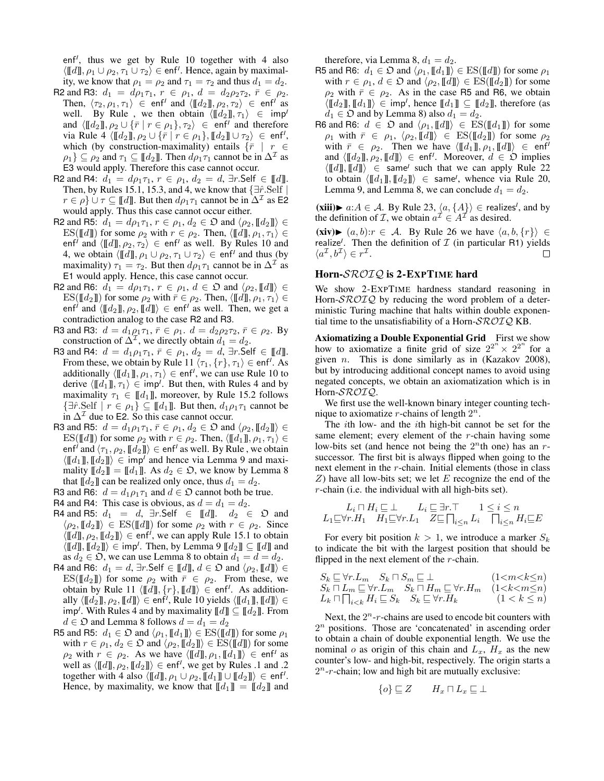enf<sup>*I*</sup>, thus we get by Rule 10 together with 4 also  $\langle \llbracket d \rrbracket, \rho_1 \cup \rho_2, \tau_1 \cup \tau_2 \rangle \in \text{enf}^I$ . Hence, again by maximality, we know that  $\rho_1 = \rho_2$  and  $\tau_1 = \tau_2$  and thus  $d_1 = d_2$ .

- R2 and R3:  $d_1 = d\rho_1 \tau_1$ ,  $r \in \rho_1$ ,  $d = d_2 \rho_2 \tau_2$ ,  $\bar{r} \in \rho_2$ . Then,  $\langle \tau_2, \rho_1, \tau_1 \rangle \in \text{enf}^I$  and  $\langle \llbracket d_2 \rrbracket, \rho_2, \tau_2 \rangle \in \text{enf}^I$  as well. By Rule, we then obtain  $\langle [[d_2]], \tau_1 \rangle \in \text{imp}^I$ and  $\langle \llbracket d_2 \rrbracket, \rho_2 \cup \{ \bar{r} \mid r \in \rho_1 \}, \tau_2 \rangle \in \text{enf}^{\prime}$  and therefore via Rule 4  $\langle \llbracket d_2 \rrbracket, \rho_2 \cup \{ \bar{r} \mid r \in \rho_1 \}, \llbracket d_2 \rrbracket \cup \tau_2 \rangle \in \text{enf}^I,$ which (by construction-maximality) entails  $\{\bar{r} \mid r \in$  $\rho_1$ }  $\subseteq \rho_2$  and  $\tau_1 \subseteq [\![d_2]\!]$ . Then  $d\rho_1\tau_1$  cannot be in  $\Delta^{\mathcal{I}}$  as E3 would apply. Therefore this case cannot occur.
- R2 and R4:  $d_1 = d\rho_1 \tau_1$ ,  $r \in \rho_1$ ,  $d_2 = d$ ,  $\exists r$ . Self  $\in [d]$ . Then, by Rules 15.1, 15.3, and 4, we know that  $\exists \hat{r}$ . Self |  $r \in \rho$   $\cup$   $\tau \subseteq \llbracket d \rrbracket$ . But then  $d\rho_1 \tau_1$  cannot be in  $\Delta^{\mathcal{I}}$  as E2 would apply. Thus this case cannot occur either.
- R2 and R5:  $d_1 = d\rho_1 \tau_1$ ,  $r \in \rho_1$ ,  $d_2 \in \mathfrak{O}$  and  $\langle \rho_2, \llbracket d_2 \rrbracket \rangle \in$ ES([[d]]) for some  $\rho_2$  with  $r \in \rho_2$ . Then,  $\langle [d] \overline{d}, \rho_1, \tau_1 \rangle \in$ enf<sup>*I*</sup> and  $\langle \llbracket d \rrbracket, \rho_2, \tau_2 \rangle \in \text{enf}^I$  as well. By Rules 10 and 4, we obtain  $\langle \llbracket d \rrbracket, \rho_1 \cup \rho_2, \tau_1 \cup \tau_2 \rangle \in \text{enf}^I$  and thus (by maximality)  $\tau_1 = \tau_2$ . But then  $d\rho_1 \tau_1$  cannot be in  $\Delta^{\mathcal{I}}$  as E1 would apply. Hence, this case cannot occur.
- R2 and R6:  $d_1 = d\rho_1 \tau_1$ ,  $r \in \rho_1$ ,  $d \in \mathfrak{O}$  and  $\langle \rho_2, \llbracket d \rrbracket \rangle \in$  $ES([\![d_2]\!])$  for some  $\rho_2$  with  $\bar{r} \in \rho_2$ . Then,  $\langle [\![d]\!], \rho_1, \tau_1 \rangle \in$ enf<sup>*I*</sup> and  $\langle \llbracket d_2 \rrbracket, \rho_2, \llbracket d \rrbracket \rangle \in \text{enf}^I$  as well. Then, we get a contradiction analog to the case R2 and R3.
- R3 and R3:  $d = d_1 \rho_1 \tau_1$ ,  $\bar{r} \in \rho_1$ .  $d = d_2 \rho_2 \tau_2$ ,  $\bar{r} \in \rho_2$ . By construction of  $\Delta^{\mathcal{I}}$ , we directly obtain  $d_1 = d_2$ .
- R3 and R4:  $d = d_1 \rho_1 \tau_1$ ,  $\bar{r} \in \rho_1$ ,  $d_2 = d$ ,  $\exists r$ . Self  $\in [d]$ . From these, we obtain by Rule 11  $\langle \tau_1, \{r\}, \tau_1 \rangle \in \text{enf}^I$ . As additionally  $\langle \llbracket d_1 \rrbracket, \rho_1, \tau_1 \rangle \in \text{enf}^I$ , we can use Rule 10 to derive  $\langle \llbracket d_1 \rrbracket, \tau_1 \rangle \in \text{imp}^I$ . But then, with Rules 4 and by maximality  $\tau_1 \in [\![d_1]\!]$ , moreover, by Rule 15.2 follows  $\{\exists \hat{r}.\text{Self} \mid r \in \rho_1\} \subseteq [\![d_1]\!]$ . But then,  $d_1 \rho_1 \tau_1$  cannot be in  $\Delta^{\mathcal{I}}$  due to E2. So this case cannot occur.
- R3 and R5:  $d = d_1 \rho_1 \tau_1$ ,  $\bar{r} \in \rho_1$ ,  $d_2 \in \mathfrak{O}$  and  $\langle \rho_2, \llbracket d_2 \rrbracket \rangle \in$  $ES([d]]$  for some  $\rho_2$  with  $r \in \rho_2$ . Then,  $\langle [[d_1]], \rho_1, \tau_1 \rangle \in$ enf<sup>*I*</sup> and  $\langle \tau_1, \rho_2, \llbracket d_2 \rrbracket \rangle \in$  enf<sup>*I*</sup> as well. By Rule , we obtain  $\langle \llbracket d_1 \rrbracket, \llbracket d_2 \rrbracket \rangle \in \text{imp}^I$  and hence via Lemma 9 and maximality  $[[d_2]] = [[d_1]]$ . As  $d_2 \in \mathfrak{O}$ , we know by Lemma 8 that  $[[d_2]]$  can be realized only once, thus  $d_1 = d_2$ .
- R3 and R6:  $d = d_1 \rho_1 \tau_1$  and  $d \in \mathfrak{O}$  cannot both be true.
- R4 and R4: This case is obvious, as  $d = d_1 = d_2$ .
- R4 and R5:  $d_1 = d$ ,  $\exists r$ . Self  $\in$  [[d]].  $d_2 \in \mathfrak{O}$  and  $\langle \rho_2, \llbracket d_2 \rrbracket \rangle \in ES(\llbracket d \rrbracket)$  for some  $\rho_2$  with  $r \in \rho_2$ . Since  $\langle \llbracket d \rrbracket, \rho_2, \llbracket d_2 \rrbracket \rangle \in \text{enf}^I$ , we can apply Rule 15.1 to obtain  $\langle \llbracket d \rrbracket, \llbracket d_2 \rrbracket \rangle \in \text{imp}^I$ . Then, by Lemma 9  $\llbracket d_2 \rrbracket \subseteq \llbracket d \rrbracket$  and as  $d_2 \in \mathfrak{O}$ , we can use Lemma 8 to obtain  $d_1 = d = d_2$ .
- R4 and R6:  $d_1 = d$ , ∃r.Self  $\in [d]$ ,  $d \in \mathfrak{O}$  and  $\langle \rho_2, [d] \rangle \in$ ES( $[\![d_2]\!]$ ) for some  $\rho_2$  with  $\bar{r} \in \rho_2$ . From these, we obtain by Rule 11  $\langle [[d]], {r}, [[d]] \rangle \in \text{enf}^I$ . As additionally  $\langle \llbracket d_2 \rrbracket, \rho_2, \llbracket d \rrbracket \rangle \in \mathsf{enf}^I$ , Rule 10 yields  $\langle \llbracket d_1 \rrbracket, \llbracket d \rrbracket \rangle \in$  $\mathsf{imp}^I$ . With Rules 4 and by maximality  $\llbracket d \rrbracket \subseteq \llbracket d_2 \rrbracket$ . From  $d \in \mathfrak{O}$  and Lemma 8 follows  $d = d_1 = d_2$
- R5 and R5:  $d_1 \in \mathfrak{O}$  and  $\langle \rho_1, [\![d_1]\!] \rangle \in ES([\![d]\!])$  for some  $\rho_1$ with  $r \in \rho_1, d_2 \in \mathfrak{O}$  and  $\langle \rho_2, [\![d_2]\!] \rangle \in ES([\![d]\!])$  for some  $\rho_2$  with  $r \in \rho_2$ . As we have  $\langle \llbracket d \rrbracket, \rho_1, \llbracket d_1 \rrbracket \rangle \in \text{enf}^I$  as well as  $\langle \llbracket d \rrbracket, \rho_2, \llbracket d_2 \rrbracket \rangle \in \text{enf}^I$ , we get by Rules .1 and .2 together with 4 also  $\langle \llbracket d \rrbracket, \rho_1 \cup \rho_2, \llbracket d_1 \rrbracket \cup \llbracket d_2 \rrbracket \rangle \in \text{enf}^I.$ Hence, by maximality, we know that  $\llbracket d_1 \rrbracket = \llbracket d_2 \rrbracket$  and

therefore, via Lemma 8,  $d_1 = d_2$ .

- R5 and R6:  $d_1 \in \mathfrak{O}$  and  $\langle \rho_1, [\![d_1]\!] \rangle \in ES([\![d]\!])$  for some  $\rho_1$ with  $r \in \rho_1, d \in \mathfrak{O}$  and  $\langle \rho_2, \llbracket d \rrbracket \rangle \in ES(\llbracket d_2 \rrbracket)$  for some  $\rho_2$  with  $\bar{r} \in \rho_2$ . As in the case R5 and R6, we obtain  $\langle \llbracket d_2 \rrbracket, \llbracket d_1 \rrbracket \rangle \in \text{imp}^I$ , hence  $\llbracket d_1 \rrbracket \subseteq \llbracket d_2 \rrbracket$ , therefore (as  $d_1 \in \mathfrak{O}$  and by Lemma 8) also  $d_1 = d_2$ .
- R6 and R6:  $d \in \mathfrak{O}$  and  $\langle \rho_1, [\![d]\!] \rangle \in ES([\![d_1]\!])$  for some  $\rho_1$  with  $\bar{r} \in \rho_1$ ,  $\langle \rho_2, \llbracket d \rrbracket \rangle \in ES(\llbracket d_2 \rrbracket)$  for some  $\rho_2$ with  $\bar{r} \in \rho_2$ . Then we have  $\langle [[d_1]], \rho_1, [[d]] \rangle \in \text{enf}^1$ and  $\langle \llbracket d_2 \rrbracket, \rho_2, \llbracket d \rrbracket \rangle \in \text{enf}^I$ . Moreover,  $d \in \mathfrak{O}$  implies  $\langle \llbracket d \rrbracket, \llbracket d \rrbracket \rangle \in \text{same}^I \text{ such that we can apply Rule 22}$ to obtain  $\langle \llbracket d_1 \rrbracket, \llbracket d_2 \rrbracket \rangle \in \mathsf{same}^{\prime}$ , whence via Rule 20, Lemma 9, and Lemma 8, we can conclude  $d_1 = d_2$ .

(xiii)►  $a:A \in \mathcal{A}$ . By Rule 23,  $\langle a, \{A\}\rangle \in$  realizes<sup>*I*</sup>, and by the definition of *T*, we obtain  $a^{\mathcal{I}} \in A^{\mathcal{I}}$  as desired.

 $(xiv)$   $\triangleright$   $(a, b):r \in \mathcal{A}$ . By Rule 26 we have  $\langle a, b, \{r\}\rangle$  ∈ realize<sup>*I*</sup>. Then the definition of  $I$  (in particular R1) yields  $\langle a^{\mathcal{I}}, b^{\mathcal{I}} \rangle \in r^{\mathcal{I}}.$ П

### Horn-SROIQ is 2-EXPTIME hard

We show 2-EXPTIME hardness standard reasoning in Horn- $\text{SROTQ}$  by reducing the word problem of a deterministic Turing machine that halts within double exponential time to the unsatisfiability of a Horn- $\mathcal{SROTQ}$  KB.

Axiomatizing a Double Exponential Grid First we show how to axiomatize a finite grid of size  $2^{2^n} \times 2^{2^n}$  for a given *n*. This is done similarly as in (Kazakov 2008), but by introducing additional concept names to avoid using negated concepts, we obtain an axiomatization which is in Horn-SROIQ.

We first use the well-known binary integer counting technique to axiomatize r-chains of length  $2^n$ .

The ith low- and the ith high-bit cannot be set for the same element; every element of the r-chain having some low-bits set (and hence not being the  $2<sup>n</sup>$ th one) has an rsuccessor. The first bit is always flipped when going to the next element in the r-chain. Initial elements (those in class  $Z$ ) have all low-bits set; we let E recognize the end of the r-chain (i.e. the individual with all high-bits set).

$$
L_i \sqcap H_i \sqsubseteq \bot \qquad L_i \sqsubseteq \exists r. \top \qquad 1 \leq i \leq n
$$
  

$$
L_1 \sqsubseteq \forall r. H_1 \quad H_1 \sqsubseteq \forall r. L_1 \quad Z \sqsubseteq \bigcap_{i \leq n} L_i \quad \bigcap_{i \leq n} H_i \sqsubseteq E
$$

For every bit position  $k > 1$ , we introduce a marker  $S_k$ to indicate the bit with the largest position that should be flipped in the next element of the  $r$ -chain.

$$
\begin{array}{l} S_k \sqsubseteq \forall r.L_m \quad S_k \sqcap S_m \sqsubseteq \bot \qquad \qquad (1 < m < k \leq n) \\ S_k \sqcap L_m \sqsubseteq \forall r.L_m \quad S_k \sqcap H_m \sqsubseteq \forall r.H_m \quad (1 < k < m \leq n) \\ L_k \sqcap \bigcap_{i < k} H_i \sqsubseteq S_k \quad S_k \sqsubseteq \forall r.H_k \qquad \qquad (1 < k \leq n) \end{array}
$$

Next, the  $2^n$ -r-chains are used to encode bit counters with  $2<sup>n</sup>$  positions. Those are 'concatenated' in ascending order to obtain a chain of double exponential length. We use the nominal  $o$  as origin of this chain and  $L_x$ ,  $H_x$  as the new counter's low- and high-bit, respectively. The origin starts a  $2<sup>n</sup>$ -r-chain; low and high bit are mutually exclusive:

$$
\{o\} \sqsubseteq Z \qquad H_x \sqcap L_x \sqsubseteq \bot
$$